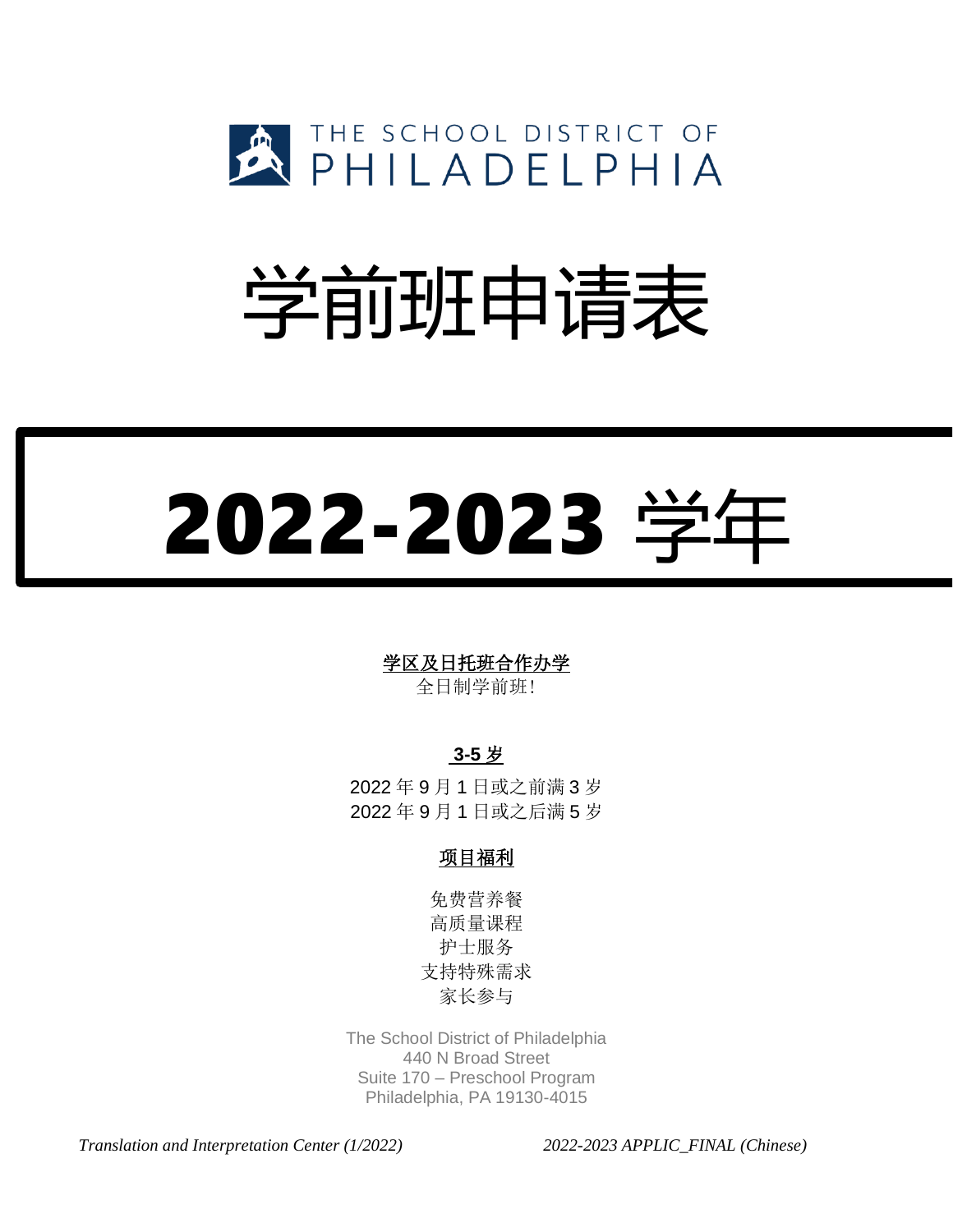

## 学前班申请表

# 2022-2023 学年

## 学区及日托班合作办学

全日制学前班!

## **3-5** 岁

2022 年 9 月 1 日或之前满 3 岁 2022 年 9 月 1 日或之后满 5 岁

## 项目福利

免费营养餐 高质量课程 护士服务 支持特殊需求 家长参与

The School District of Philadelphia 440 N Broad Street Suite 170 – Preschool Program Philadelphia, PA 19130-4015

*Translation and Interpretation Center (1/2022) 2022-2023 APPLIC\_FINAL (Chinese)*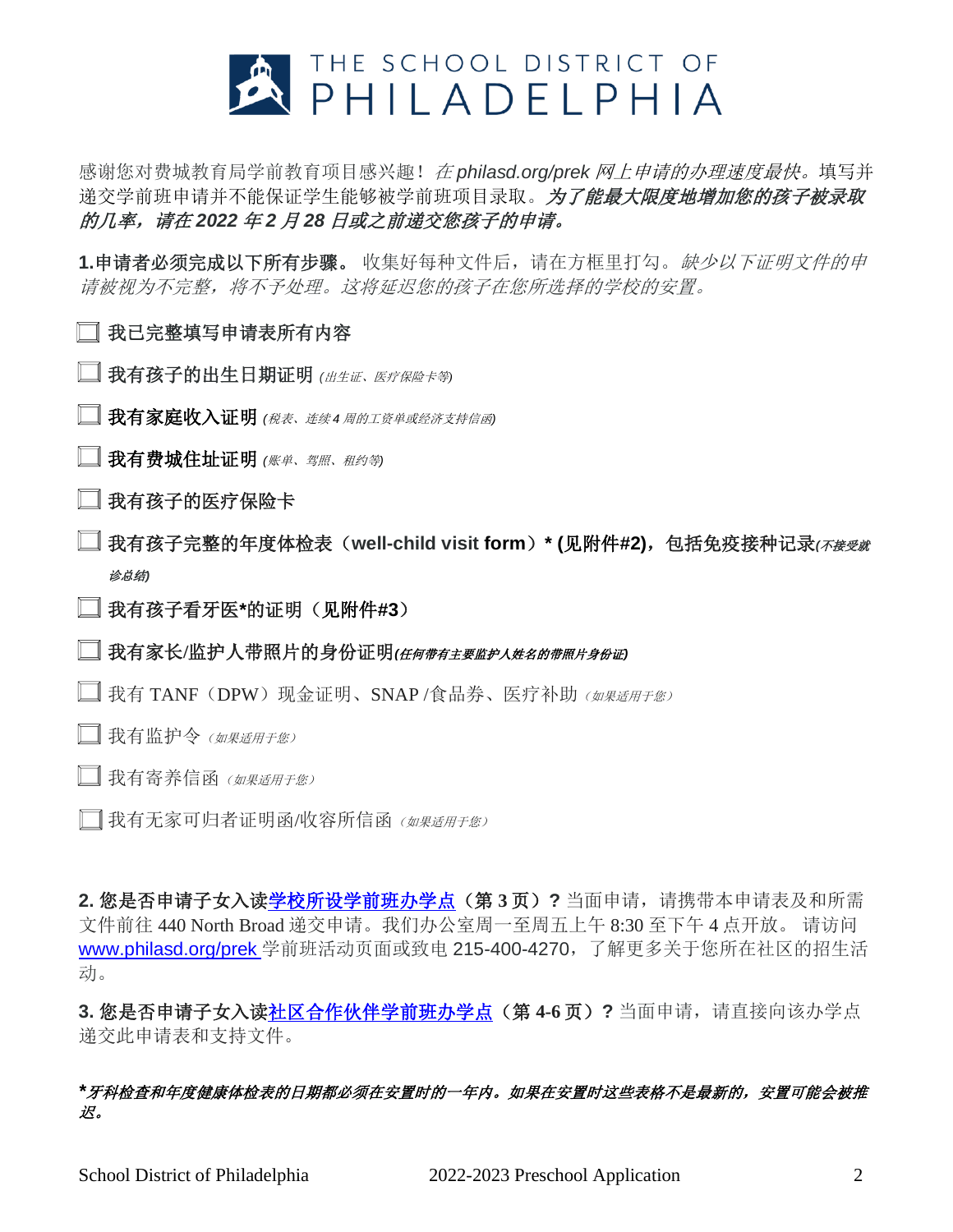

感谢您对费城教育局学前教育项目感兴趣!在 *philasd.org/prek* 网上申请的办理速度最快。填写并 递交学前班申请并不能保证学生能够被学前班项目录取。为了能最大限度地增加您的孩子被录取 的几率,请在 *2022* 年 *2* 月 *28* 日或之前递交您孩子的申请。

**1.**申请者必须完成以下所有步骤。 收集好每种文件后,请在方框里打勾。缺少以下证明文件的申 请被视为不完整,将不予处理。这将延迟您的孩子在您所选择的学校的安置。

## □ 我已完整填写申请表所有内容

- □ 我有孩子的出生日期证明 (出生证、医疗保险卡等)
- 我有家庭收入证明 *(*税表、连续 *<sup>4</sup>* 周的工资单或经济支持信函*)*
- ■我有费城住址证明 (账单、驾照、租约等)
- □ 我有孩子的医疗保险卡
- 我有孩子完整的年度体检表(**well-child visit form**)**\* (**见附件**#2)**,包括免疫接种记录*(*不接受就 诊总结*)*
- 我有孩子看牙医**\***的证明(见附件**#3**)

我有家长**/**监护人带照片的身份证明*(*任何带有主要监护人姓名的带照片身份证*)*

- $\Box$  我有 TANF (DPW) 现金证明、SNAP /食品券、医疗补助 (  $M$   $\#$   $\#$   $\#$   $\#$   $\#$   $\#$   $\#$
- □ 我有监护令 (如果适用于您)
- □ 我有寄养信函 (如果适用于您)
- □我有无家可归者证明函/收容所信函(如果适用于您)

**2.** 您是否申请子女入[读学校所设学前班办学点\(](https://www.philasd.org/earlychildhood/wp-content/uploads/sites/835/2018/07/SDP-Programs-2018-19.pdf)第 **3** 页)**?** 当面申请,请携带本申请表及和所需 文件前往 440 North Broad 递交申请。我们办公室周一至周五上午 8:30 至下午 4 点开放。 请访问 [www.philasd.org/prek](http://www.philasd.org/prek) 学前班活动页面或致电 215-400-4270,了解更多关于您所在社区的招生活 动。

**3.** 您是否申请子女入[读社区合作伙伴学前班办学点\(](https://www.philasd.org/earlychildhood/wp-content/uploads/sites/835/2018/09/2018-2019-Pre-K-Partner-Locations-9-13-2018.pdf)第 **4-6** 页)**?** 当面申请,请直接向该办学点 递交此申请表和支持文件。

#### *\**牙科检查和年度健康体检表的日期都必须在安置时的一年内。如果在安置时这些表格不是最新的,安置可能会被推 迟。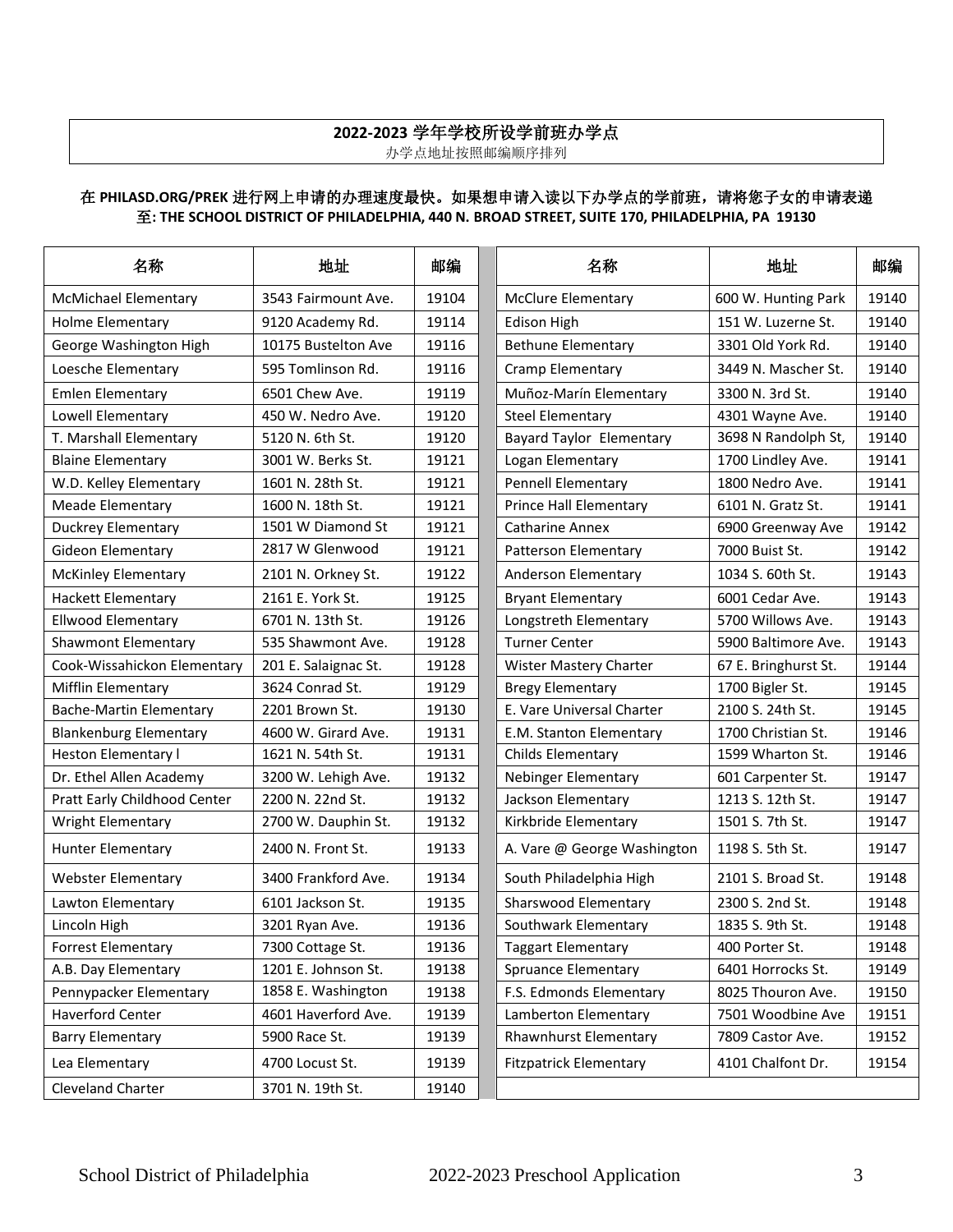## **2022-2023** 学年学校所设学前班办学点

办学点地址按照邮编顺序排列

#### 在 PHILASD.ORG/PREK 进行网上申请的办理速度最快。如果想申请入读以下办学点的学前班, 请将您子女的申请表递 至**: THE SCHOOL DISTRICT OF PHILADELPHIA, 440 N. BROAD STREET, SUITE 170, PHILADELPHIA, PA 19130**

| 名称                             | 地址                   | 邮编    | 名称                            | 地址                   | 邮编    |
|--------------------------------|----------------------|-------|-------------------------------|----------------------|-------|
| <b>McMichael Elementary</b>    | 3543 Fairmount Ave.  | 19104 | <b>McClure Elementary</b>     | 600 W. Hunting Park  | 19140 |
| Holme Elementary               | 9120 Academy Rd.     | 19114 | <b>Edison High</b>            | 151 W. Luzerne St.   | 19140 |
| George Washington High         | 10175 Bustelton Ave  | 19116 | <b>Bethune Elementary</b>     | 3301 Old York Rd.    | 19140 |
| Loesche Elementary             | 595 Tomlinson Rd.    | 19116 | Cramp Elementary              | 3449 N. Mascher St.  | 19140 |
| <b>Emlen Elementary</b>        | 6501 Chew Ave.       | 19119 | Muñoz-Marín Elementary        | 3300 N. 3rd St.      | 19140 |
| Lowell Elementary              | 450 W. Nedro Ave.    | 19120 | <b>Steel Elementary</b>       | 4301 Wayne Ave.      | 19140 |
| T. Marshall Elementary         | 5120 N. 6th St.      | 19120 | Bayard Taylor Elementary      | 3698 N Randolph St,  | 19140 |
| <b>Blaine Elementary</b>       | 3001 W. Berks St.    | 19121 | Logan Elementary              | 1700 Lindley Ave.    | 19141 |
| W.D. Kelley Elementary         | 1601 N. 28th St.     | 19121 | <b>Pennell Elementary</b>     | 1800 Nedro Ave.      | 19141 |
| <b>Meade Elementary</b>        | 1600 N. 18th St.     | 19121 | <b>Prince Hall Elementary</b> | 6101 N. Gratz St.    | 19141 |
| <b>Duckrey Elementary</b>      | 1501 W Diamond St    | 19121 | <b>Catharine Annex</b>        | 6900 Greenway Ave    | 19142 |
| Gideon Elementary              | 2817 W Glenwood      | 19121 | <b>Patterson Elementary</b>   | 7000 Buist St.       | 19142 |
| <b>McKinley Elementary</b>     | 2101 N. Orkney St.   | 19122 | Anderson Elementary           | 1034 S. 60th St.     | 19143 |
| <b>Hackett Elementary</b>      | 2161 E. York St.     | 19125 | <b>Bryant Elementary</b>      | 6001 Cedar Ave.      | 19143 |
| <b>Ellwood Elementary</b>      | 6701 N. 13th St.     | 19126 | Longstreth Elementary         | 5700 Willows Ave.    | 19143 |
| <b>Shawmont Elementary</b>     | 535 Shawmont Ave.    | 19128 | <b>Turner Center</b>          | 5900 Baltimore Ave.  | 19143 |
| Cook-Wissahickon Elementary    | 201 E. Salaignac St. | 19128 | Wister Mastery Charter        | 67 E. Bringhurst St. | 19144 |
| Mifflin Elementary             | 3624 Conrad St.      | 19129 | <b>Bregy Elementary</b>       | 1700 Bigler St.      | 19145 |
| <b>Bache-Martin Elementary</b> | 2201 Brown St.       | 19130 | E. Vare Universal Charter     | 2100 S. 24th St.     | 19145 |
| <b>Blankenburg Elementary</b>  | 4600 W. Girard Ave.  | 19131 | E.M. Stanton Elementary       | 1700 Christian St.   | 19146 |
| <b>Heston Elementary I</b>     | 1621 N. 54th St.     | 19131 | Childs Elementary             | 1599 Wharton St.     | 19146 |
| Dr. Ethel Allen Academy        | 3200 W. Lehigh Ave.  | 19132 | <b>Nebinger Elementary</b>    | 601 Carpenter St.    | 19147 |
| Pratt Early Childhood Center   | 2200 N. 22nd St.     | 19132 | Jackson Elementary            | 1213 S. 12th St.     | 19147 |
| Wright Elementary              | 2700 W. Dauphin St.  | 19132 | Kirkbride Elementary          | 1501 S. 7th St.      | 19147 |
| <b>Hunter Elementary</b>       | 2400 N. Front St.    | 19133 | A. Vare @ George Washington   | 1198 S. 5th St.      | 19147 |
| <b>Webster Elementary</b>      | 3400 Frankford Ave.  | 19134 | South Philadelphia High       | 2101 S. Broad St.    | 19148 |
| Lawton Elementary              | 6101 Jackson St.     | 19135 | Sharswood Elementary          | 2300 S. 2nd St.      | 19148 |
| Lincoln High                   | 3201 Ryan Ave.       | 19136 | Southwark Elementary          | 1835 S. 9th St.      | 19148 |
| <b>Forrest Elementary</b>      | 7300 Cottage St.     | 19136 | Taggart Elementary            | 400 Porter St.       | 19148 |
| A.B. Day Elementary            | 1201 E. Johnson St.  | 19138 | <b>Spruance Elementary</b>    | 6401 Horrocks St.    | 19149 |
| Pennypacker Elementary         | 1858 E. Washington   | 19138 | F.S. Edmonds Elementary       | 8025 Thouron Ave.    | 19150 |
| Haverford Center               | 4601 Haverford Ave.  | 19139 | Lamberton Elementary          | 7501 Woodbine Ave    | 19151 |
| <b>Barry Elementary</b>        | 5900 Race St.        | 19139 | Rhawnhurst Elementary         | 7809 Castor Ave.     | 19152 |
| Lea Elementary                 | 4700 Locust St.      | 19139 | <b>Fitzpatrick Elementary</b> | 4101 Chalfont Dr.    | 19154 |
| Cleveland Charter              | 3701 N. 19th St.     | 19140 |                               |                      |       |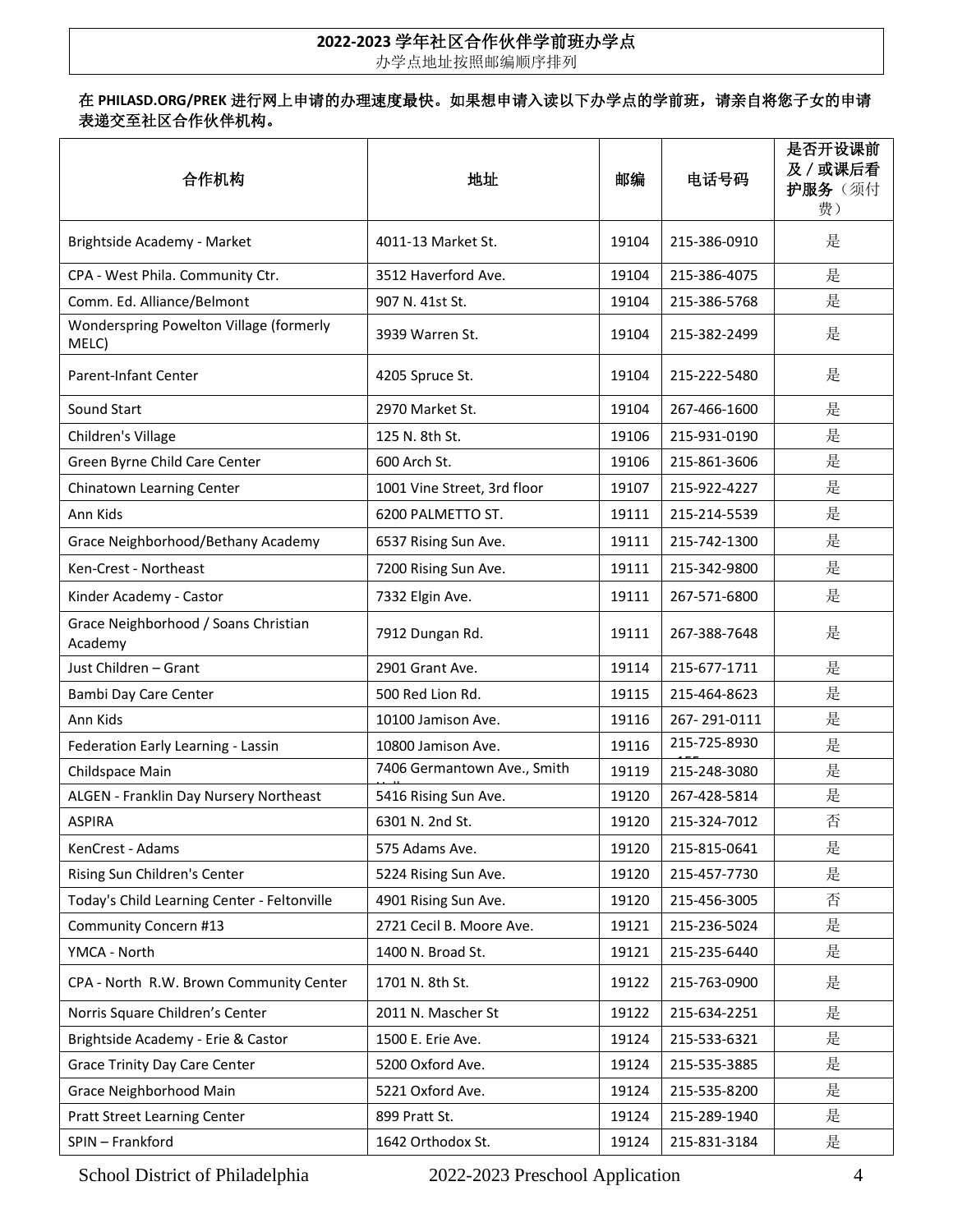## **2022-2023** 学年社区合作伙伴学前班办学点

办学点地址按照邮编顺序排列

#### 在 **PHILASD.ORG/PREK** 进行网上申请的办理速度最快。如果想申请入读以下办学点的学前班,请亲自将您子女的申请 表递交至社区合作伙伴机构。

| 合作机构                                             | 地址                          | 邮编    | 电话号码         | 是否开设课前<br>及 / 或课后看<br>护服务(须付<br>费) |
|--------------------------------------------------|-----------------------------|-------|--------------|------------------------------------|
| Brightside Academy - Market                      | 4011-13 Market St.          | 19104 | 215-386-0910 | 是                                  |
| CPA - West Phila. Community Ctr.                 | 3512 Haverford Ave.         | 19104 | 215-386-4075 | 是                                  |
| Comm. Ed. Alliance/Belmont                       | 907 N. 41st St.             | 19104 | 215-386-5768 | 是                                  |
| Wonderspring Powelton Village (formerly<br>MELC) | 3939 Warren St.             | 19104 | 215-382-2499 | 是                                  |
| Parent-Infant Center                             | 4205 Spruce St.             | 19104 | 215-222-5480 | 是                                  |
| Sound Start                                      | 2970 Market St.             | 19104 | 267-466-1600 | 是                                  |
| Children's Village                               | 125 N. 8th St.              | 19106 | 215-931-0190 | 是                                  |
| Green Byrne Child Care Center                    | 600 Arch St.                | 19106 | 215-861-3606 | 是                                  |
| Chinatown Learning Center                        | 1001 Vine Street, 3rd floor | 19107 | 215-922-4227 | 是                                  |
| Ann Kids                                         | 6200 PALMETTO ST.           | 19111 | 215-214-5539 | 是                                  |
| Grace Neighborhood/Bethany Academy               | 6537 Rising Sun Ave.        | 19111 | 215-742-1300 | 是                                  |
| Ken-Crest - Northeast                            | 7200 Rising Sun Ave.        | 19111 | 215-342-9800 | 是                                  |
| Kinder Academy - Castor                          | 7332 Elgin Ave.             | 19111 | 267-571-6800 | 是                                  |
| Grace Neighborhood / Soans Christian<br>Academy  | 7912 Dungan Rd.             | 19111 | 267-388-7648 | 是                                  |
| Just Children - Grant                            | 2901 Grant Ave.             | 19114 | 215-677-1711 | 是                                  |
| Bambi Day Care Center                            | 500 Red Lion Rd.            | 19115 | 215-464-8623 | 是                                  |
| Ann Kids                                         | 10100 Jamison Ave.          | 19116 | 267-291-0111 | 是                                  |
| Federation Early Learning - Lassin               | 10800 Jamison Ave.          | 19116 | 215-725-8930 | 是                                  |
| Childspace Main                                  | 7406 Germantown Ave., Smith | 19119 | 215-248-3080 | 是                                  |
| ALGEN - Franklin Day Nursery Northeast           | 5416 Rising Sun Ave.        | 19120 | 267-428-5814 | 是                                  |
| <b>ASPIRA</b>                                    | 6301 N. 2nd St.             | 19120 | 215-324-7012 | 否                                  |
| KenCrest - Adams                                 | 575 Adams Ave.              | 19120 | 215-815-0641 | 是                                  |
| Rising Sun Children's Center                     | 5224 Rising Sun Ave.        | 19120 | 215-457-7730 | 是                                  |
| Today's Child Learning Center - Feltonville      | 4901 Rising Sun Ave.        | 19120 | 215-456-3005 | 否                                  |
| Community Concern #13                            | 2721 Cecil B. Moore Ave.    | 19121 | 215-236-5024 | 是                                  |
| YMCA - North                                     | 1400 N. Broad St.           | 19121 | 215-235-6440 | 是                                  |
| CPA - North R.W. Brown Community Center          | 1701 N. 8th St.             | 19122 | 215-763-0900 | 是                                  |
| Norris Square Children's Center                  | 2011 N. Mascher St          | 19122 | 215-634-2251 | 是                                  |
| Brightside Academy - Erie & Castor               | 1500 E. Erie Ave.           | 19124 | 215-533-6321 | 是                                  |
| <b>Grace Trinity Day Care Center</b>             | 5200 Oxford Ave.            | 19124 | 215-535-3885 | 是                                  |
| Grace Neighborhood Main                          | 5221 Oxford Ave.            | 19124 | 215-535-8200 | 是                                  |
| <b>Pratt Street Learning Center</b>              | 899 Pratt St.               | 19124 | 215-289-1940 | 是                                  |
| SPIN - Frankford                                 | 1642 Orthodox St.           | 19124 | 215-831-3184 | 是                                  |

School District of Philadelphia 2022-2023 Preschool Application 4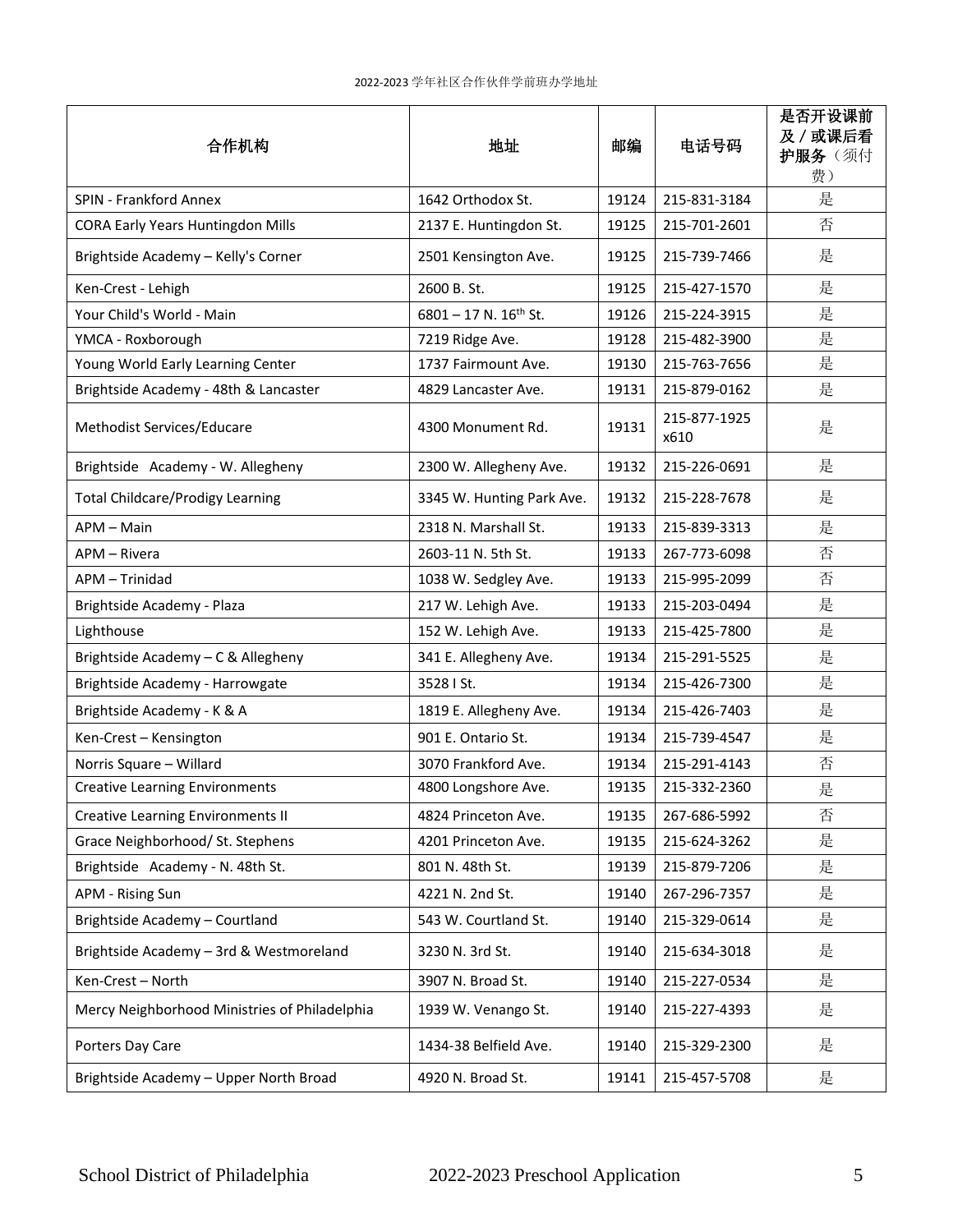| 合作机构                                          | 地址                           | 邮编    | 电话号码                 | 是否开设课前<br>及 / 或课后看<br>护服务(须付<br>费) |
|-----------------------------------------------|------------------------------|-------|----------------------|------------------------------------|
| <b>SPIN - Frankford Annex</b>                 | 1642 Orthodox St.            | 19124 | 215-831-3184         | 是                                  |
| <b>CORA Early Years Huntingdon Mills</b>      | 2137 E. Huntingdon St.       | 19125 | 215-701-2601         | 否                                  |
| Brightside Academy - Kelly's Corner           | 2501 Kensington Ave.         | 19125 | 215-739-7466         | 是                                  |
| Ken-Crest - Lehigh                            | 2600 B. St.                  | 19125 | 215-427-1570         | 是                                  |
| Your Child's World - Main                     | $6801 - 17$ N. $16^{th}$ St. | 19126 | 215-224-3915         | 是                                  |
| YMCA - Roxborough                             | 7219 Ridge Ave.              | 19128 | 215-482-3900         | 是                                  |
| Young World Early Learning Center             | 1737 Fairmount Ave.          | 19130 | 215-763-7656         | 是                                  |
| Brightside Academy - 48th & Lancaster         | 4829 Lancaster Ave.          | 19131 | 215-879-0162         | 是                                  |
| Methodist Services/Educare                    | 4300 Monument Rd.            | 19131 | 215-877-1925<br>x610 | 是                                  |
| Brightside Academy - W. Allegheny             | 2300 W. Allegheny Ave.       | 19132 | 215-226-0691         | 是                                  |
| <b>Total Childcare/Prodigy Learning</b>       | 3345 W. Hunting Park Ave.    | 19132 | 215-228-7678         | 是                                  |
| APM - Main                                    | 2318 N. Marshall St.         | 19133 | 215-839-3313         | 是                                  |
| APM – Rivera                                  | 2603-11 N. 5th St.           | 19133 | 267-773-6098         | 否                                  |
| APM - Trinidad                                | 1038 W. Sedgley Ave.         | 19133 | 215-995-2099         | 否                                  |
| Brightside Academy - Plaza                    | 217 W. Lehigh Ave.           | 19133 | 215-203-0494         | 是                                  |
| Lighthouse                                    | 152 W. Lehigh Ave.           | 19133 | 215-425-7800         | 是                                  |
| Brightside Academy - C & Allegheny            | 341 E. Allegheny Ave.        | 19134 | 215-291-5525         | 是                                  |
| Brightside Academy - Harrowgate               | 3528   St.                   | 19134 | 215-426-7300         | 是                                  |
| Brightside Academy - K & A                    | 1819 E. Allegheny Ave.       | 19134 | 215-426-7403         | 是                                  |
| Ken-Crest - Kensington                        | 901 E. Ontario St.           | 19134 | 215-739-4547         | 是                                  |
| Norris Square - Willard                       | 3070 Frankford Ave.          | 19134 | 215-291-4143         | 否                                  |
| <b>Creative Learning Environments</b>         | 4800 Longshore Ave.          | 19135 | 215-332-2360         | 是                                  |
| <b>Creative Learning Environments II</b>      | 4824 Princeton Ave.          | 19135 | 267-686-5992         | 否                                  |
| Grace Neighborhood/ St. Stephens              | 4201 Princeton Ave.          | 19135 | 215-624-3262         | 是                                  |
| Brightside Academy - N. 48th St.              | 801 N. 48th St.              | 19139 | 215-879-7206         | 是                                  |
| APM - Rising Sun                              | 4221 N. 2nd St.              | 19140 | 267-296-7357         | 是                                  |
| Brightside Academy - Courtland                | 543 W. Courtland St.         | 19140 | 215-329-0614         | 是                                  |
| Brightside Academy - 3rd & Westmoreland       | 3230 N. 3rd St.              | 19140 | 215-634-3018         | 是                                  |
| Ken-Crest - North                             | 3907 N. Broad St.            | 19140 | 215-227-0534         | 是                                  |
| Mercy Neighborhood Ministries of Philadelphia | 1939 W. Venango St.          | 19140 | 215-227-4393         | 是                                  |
| Porters Day Care                              | 1434-38 Belfield Ave.        | 19140 | 215-329-2300         | 是                                  |
| Brightside Academy - Upper North Broad        | 4920 N. Broad St.            | 19141 | 215-457-5708         | 是                                  |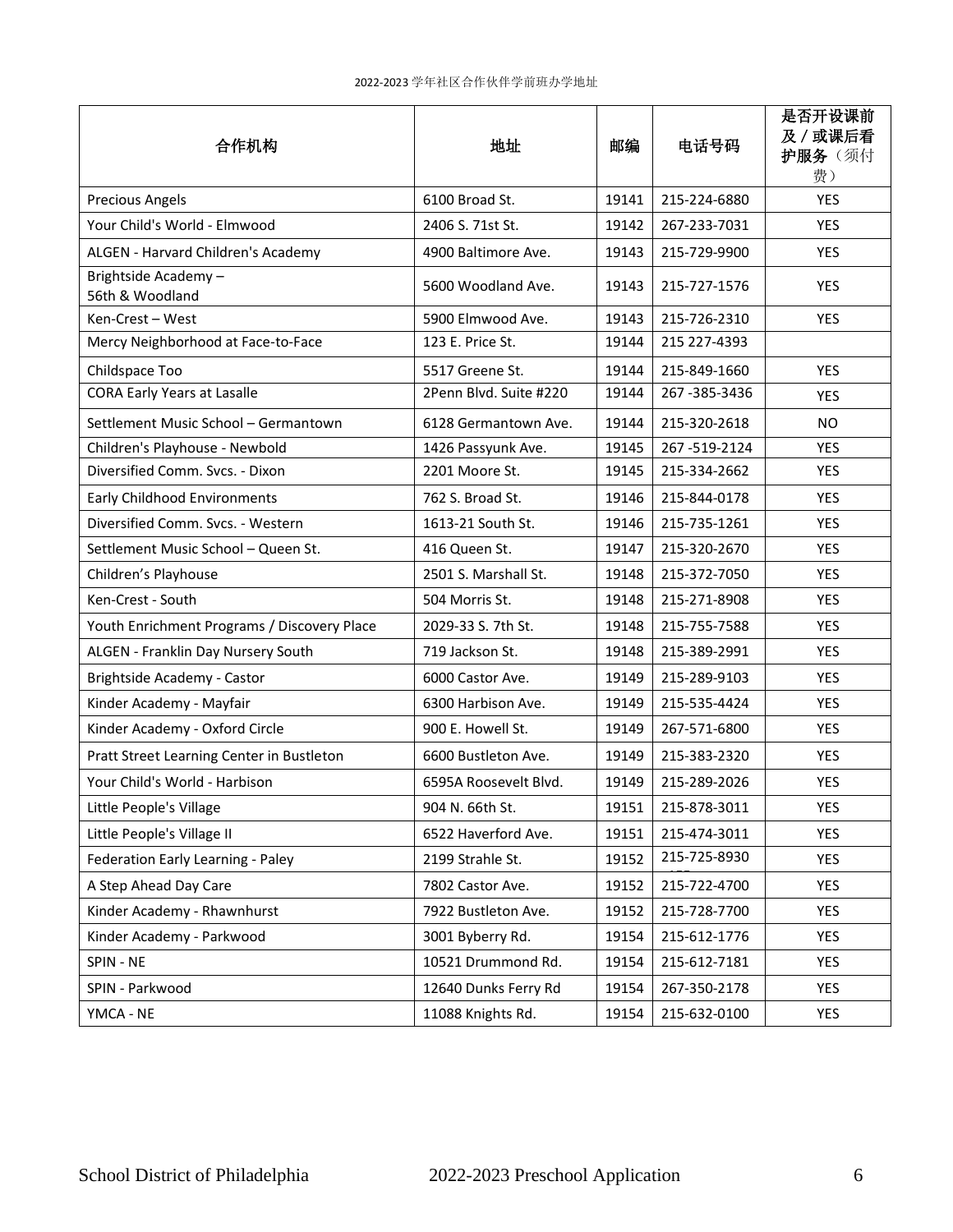| 合作机构                                        | 地址                     | 邮编    | 电话号码         | 是否开设课前<br>及 / 或课后看<br>护服务(须付<br>费) |
|---------------------------------------------|------------------------|-------|--------------|------------------------------------|
| <b>Precious Angels</b>                      | 6100 Broad St.         | 19141 | 215-224-6880 | <b>YES</b>                         |
| Your Child's World - Elmwood                | 2406 S. 71st St.       | 19142 | 267-233-7031 | <b>YES</b>                         |
| ALGEN - Harvard Children's Academy          | 4900 Baltimore Ave.    | 19143 | 215-729-9900 | <b>YES</b>                         |
| Brightside Academy-<br>56th & Woodland      | 5600 Woodland Ave.     | 19143 | 215-727-1576 | <b>YES</b>                         |
| Ken-Crest - West                            | 5900 Elmwood Ave.      | 19143 | 215-726-2310 | <b>YES</b>                         |
| Mercy Neighborhood at Face-to-Face          | 123 E. Price St.       | 19144 | 215 227-4393 |                                    |
| Childspace Too                              | 5517 Greene St.        | 19144 | 215-849-1660 | <b>YES</b>                         |
| <b>CORA Early Years at Lasalle</b>          | 2Penn Blvd. Suite #220 | 19144 | 267-385-3436 | <b>YES</b>                         |
| Settlement Music School - Germantown        | 6128 Germantown Ave.   | 19144 | 215-320-2618 | NO                                 |
| Children's Playhouse - Newbold              | 1426 Passyunk Ave.     | 19145 | 267-519-2124 | <b>YES</b>                         |
| Diversified Comm. Svcs. - Dixon             | 2201 Moore St.         | 19145 | 215-334-2662 | <b>YES</b>                         |
| <b>Early Childhood Environments</b>         | 762 S. Broad St.       | 19146 | 215-844-0178 | <b>YES</b>                         |
| Diversified Comm. Svcs. - Western           | 1613-21 South St.      | 19146 | 215-735-1261 | <b>YES</b>                         |
| Settlement Music School - Queen St.         | 416 Queen St.          | 19147 | 215-320-2670 | <b>YES</b>                         |
| Children's Playhouse                        | 2501 S. Marshall St.   | 19148 | 215-372-7050 | <b>YES</b>                         |
| Ken-Crest - South                           | 504 Morris St.         | 19148 | 215-271-8908 | <b>YES</b>                         |
| Youth Enrichment Programs / Discovery Place | 2029-33 S. 7th St.     | 19148 | 215-755-7588 | <b>YES</b>                         |
| ALGEN - Franklin Day Nursery South          | 719 Jackson St.        | 19148 | 215-389-2991 | <b>YES</b>                         |
| Brightside Academy - Castor                 | 6000 Castor Ave.       | 19149 | 215-289-9103 | <b>YES</b>                         |
| Kinder Academy - Mayfair                    | 6300 Harbison Ave.     | 19149 | 215-535-4424 | <b>YES</b>                         |
| Kinder Academy - Oxford Circle              | 900 E. Howell St.      | 19149 | 267-571-6800 | <b>YES</b>                         |
| Pratt Street Learning Center in Bustleton   | 6600 Bustleton Ave.    | 19149 | 215-383-2320 | <b>YES</b>                         |
| Your Child's World - Harbison               | 6595A Roosevelt Blvd.  | 19149 | 215-289-2026 | <b>YES</b>                         |
| Little People's Village                     | 904 N. 66th St.        | 19151 | 215-878-3011 | YES                                |
| Little People's Village II                  | 6522 Haverford Ave.    | 19151 | 215-474-3011 | YES                                |
| Federation Early Learning - Paley           | 2199 Strahle St.       | 19152 | 215-725-8930 | YES                                |
| A Step Ahead Day Care                       | 7802 Castor Ave.       | 19152 | 215-722-4700 | YES                                |
| Kinder Academy - Rhawnhurst                 | 7922 Bustleton Ave.    | 19152 | 215-728-7700 | YES                                |
| Kinder Academy - Parkwood                   | 3001 Byberry Rd.       | 19154 | 215-612-1776 | YES                                |
| SPIN - NE                                   | 10521 Drummond Rd.     | 19154 | 215-612-7181 | YES                                |
| SPIN - Parkwood                             | 12640 Dunks Ferry Rd   | 19154 | 267-350-2178 | YES                                |
| YMCA - NE                                   | 11088 Knights Rd.      | 19154 | 215-632-0100 | YES                                |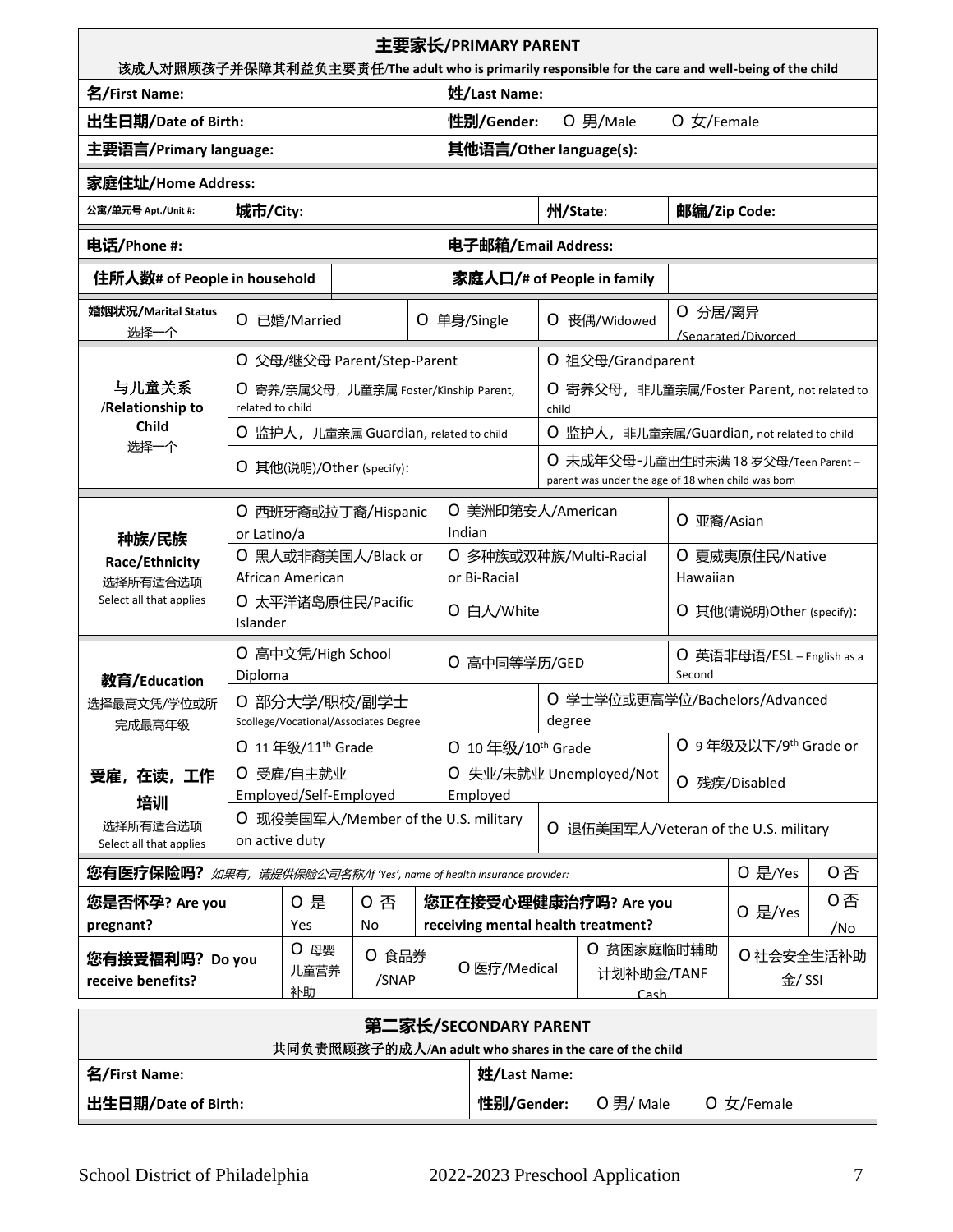| 主要家长/PRIMARY PARENT<br>该成人对照顾孩子并保障其利益负主要责任/The adult who is primarily responsible for the care and well-being of the child                               |                  |                               |                                                        |  |                                        |                                                             |                                       |                                                                                            |                                |                                   |           |
|----------------------------------------------------------------------------------------------------------------------------------------------------------|------------------|-------------------------------|--------------------------------------------------------|--|----------------------------------------|-------------------------------------------------------------|---------------------------------------|--------------------------------------------------------------------------------------------|--------------------------------|-----------------------------------|-----------|
| 名/First Name:                                                                                                                                            |                  |                               | 姓/Last Name:                                           |  |                                        |                                                             |                                       |                                                                                            |                                |                                   |           |
| 出生日期/Date of Birth:                                                                                                                                      |                  |                               |                                                        |  |                                        | 性别/Gender:                                                  |                                       | O 男/Male                                                                                   | $O \not\subset$ /Female        |                                   |           |
| 主要语言/Primary language:                                                                                                                                   |                  |                               |                                                        |  |                                        | 其他语言/Other language(s):                                     |                                       |                                                                                            |                                |                                   |           |
| 家庭住址/Home Address:                                                                                                                                       |                  |                               |                                                        |  |                                        |                                                             |                                       |                                                                                            |                                |                                   |           |
| 公寓/单元号 Apt./Unit #:                                                                                                                                      | 城市/City:         |                               |                                                        |  |                                        |                                                             |                                       | 州/State:                                                                                   | 邮编/Zip Code:                   |                                   |           |
| 电话/Phone #:                                                                                                                                              |                  |                               |                                                        |  |                                        | 电子邮箱/Email Address:                                         |                                       |                                                                                            |                                |                                   |           |
| 住所人数# of People in household                                                                                                                             |                  |                               |                                                        |  |                                        |                                                             |                                       | 家庭人口/# of People in family                                                                 |                                |                                   |           |
| 婚姻状况/Marital Status<br>选择一个                                                                                                                              | Ő                | 已婚/Married                    |                                                        |  |                                        | O 单身/Single                                                 |                                       | O 丧偶/Widowed                                                                               | ○ 分居/离异                        | /Senarated/Divorced               |           |
|                                                                                                                                                          |                  |                               | O 父母/继父母 Parent/Step-Parent                            |  |                                        |                                                             |                                       | O 祖父母/Grandparent                                                                          |                                |                                   |           |
| 与儿童关系<br>/Relationship to                                                                                                                                | related to child |                               | ○ 寄养/亲属父母, 儿童亲属 Foster/Kinship Parent,                 |  |                                        |                                                             | child                                 | O 寄养父母,非儿童亲属/Foster Parent, not related to                                                 |                                |                                   |           |
| <b>Child</b><br>选择一个                                                                                                                                     |                  |                               | O 监护人, 儿童亲属 Guardian, related to child                 |  |                                        |                                                             |                                       | O 监护人, 非儿童亲属/Guardian, not related to child                                                |                                |                                   |           |
|                                                                                                                                                          |                  |                               | O 其他(说明)/Other (specify):                              |  |                                        |                                                             |                                       | ○ 未成年父母-儿童出生时未满 18 岁父母/Teen Parent –<br>parent was under the age of 18 when child was born |                                |                                   |           |
| 种族/民族                                                                                                                                                    | or Latino/a      |                               | O 西班牙裔或拉丁裔/Hispanic                                    |  | O<br>美洲印第安人/American<br>Indian         |                                                             | O 亚裔/Asian                            |                                                                                            |                                |                                   |           |
| Race/Ethnicity<br>选择所有适合选项                                                                                                                               |                  | African American              | O 黑人或非裔美国人/Black or                                    |  | O 多种族或双种族/Multi-Racial<br>or Bi-Racial |                                                             | O 夏威夷原住民/Native<br>Hawaiian           |                                                                                            |                                |                                   |           |
| Select all that applies                                                                                                                                  | Islander         |                               | O 太平洋诸岛原住民/Pacific                                     |  | O 白人/White                             |                                                             | O 其他(请说明) Other (specify):            |                                                                                            |                                |                                   |           |
| 教育/Education                                                                                                                                             | Diploma          |                               | O 高中文凭/High School                                     |  | O 高中同等学历/GED                           |                                                             | O 英语非母语/ESL – English as a<br>Second  |                                                                                            |                                |                                   |           |
| 选择最高文凭/学位或所<br>完成最高年级                                                                                                                                    |                  |                               | 0 部分大学/职校/副学士<br>Scollege/Vocational/Associates Degree |  |                                        |                                                             | degree                                |                                                                                            | O 学士学位或更高学位/Bachelors/Advanced |                                   |           |
|                                                                                                                                                          |                  | O 11年级/11 <sup>th</sup> Grade |                                                        |  |                                        | O 10年级/10 <sup>th</sup> Grade                               |                                       |                                                                                            |                                | O 9年级及以下/9 <sup>th</sup> Grade or |           |
| 受雇, 在读, 工作                                                                                                                                               | Ő                | 受雇/自主就业                       | Employed/Self-Employed                                 |  |                                        | Employed                                                    |                                       | O 失业/未就业 Unemployed/Not                                                                    |                                | O 残疾/Disabled                     |           |
| 培训<br>选择所有适合选项<br>Select all that applies                                                                                                                | on active duty   |                               | 现役美国军人/Member of the U.S. military                     |  |                                        |                                                             | O 退伍美国军人/Veteran of the U.S. military |                                                                                            |                                |                                   |           |
| 您有医疗保险吗?                                                                                                                                                 |                  |                               |                                                        |  |                                        | 如果有, 请提供保险公司名称/If 'Yes', name of health insurance provider: |                                       |                                                                                            |                                | O 是/Yes                           | 0否        |
| 您是否怀孕? Are you<br>pregnant?                                                                                                                              |                  | 0 是<br>Yes                    | 0 否<br>No                                              |  |                                        |                                                             |                                       | 您正在接受心理健康治疗吗? Are you<br>receiving mental health treatment?                                |                                | O 是/Yes                           | 0否<br>/No |
| 0 母婴<br>○ 贫困家庭临时辅助<br>○ 食品券<br>0 社会安全生活补助<br>您有接受福利吗? Do you<br>O 医疗/Medical<br>儿童营养<br>计划补助金/TANF<br>金/ SSI<br>/SNAP<br>receive benefits?<br>补助<br>Cash |                  |                               |                                                        |  |                                        |                                                             |                                       |                                                                                            |                                |                                   |           |
| 第二家长/SECONDARY PARENT<br>共同负责照顾孩子的成人/An adult who shares in the care of the child                                                                        |                  |                               |                                                        |  |                                        |                                                             |                                       |                                                                                            |                                |                                   |           |
| 名/First Name:<br>姓/Last Name:                                                                                                                            |                  |                               |                                                        |  |                                        |                                                             |                                       |                                                                                            |                                |                                   |           |
| 出生日期/Date of Birth:<br>性别/Gender:<br>O男/Male<br>O 女/Female                                                                                               |                  |                               |                                                        |  |                                        |                                                             |                                       |                                                                                            |                                |                                   |           |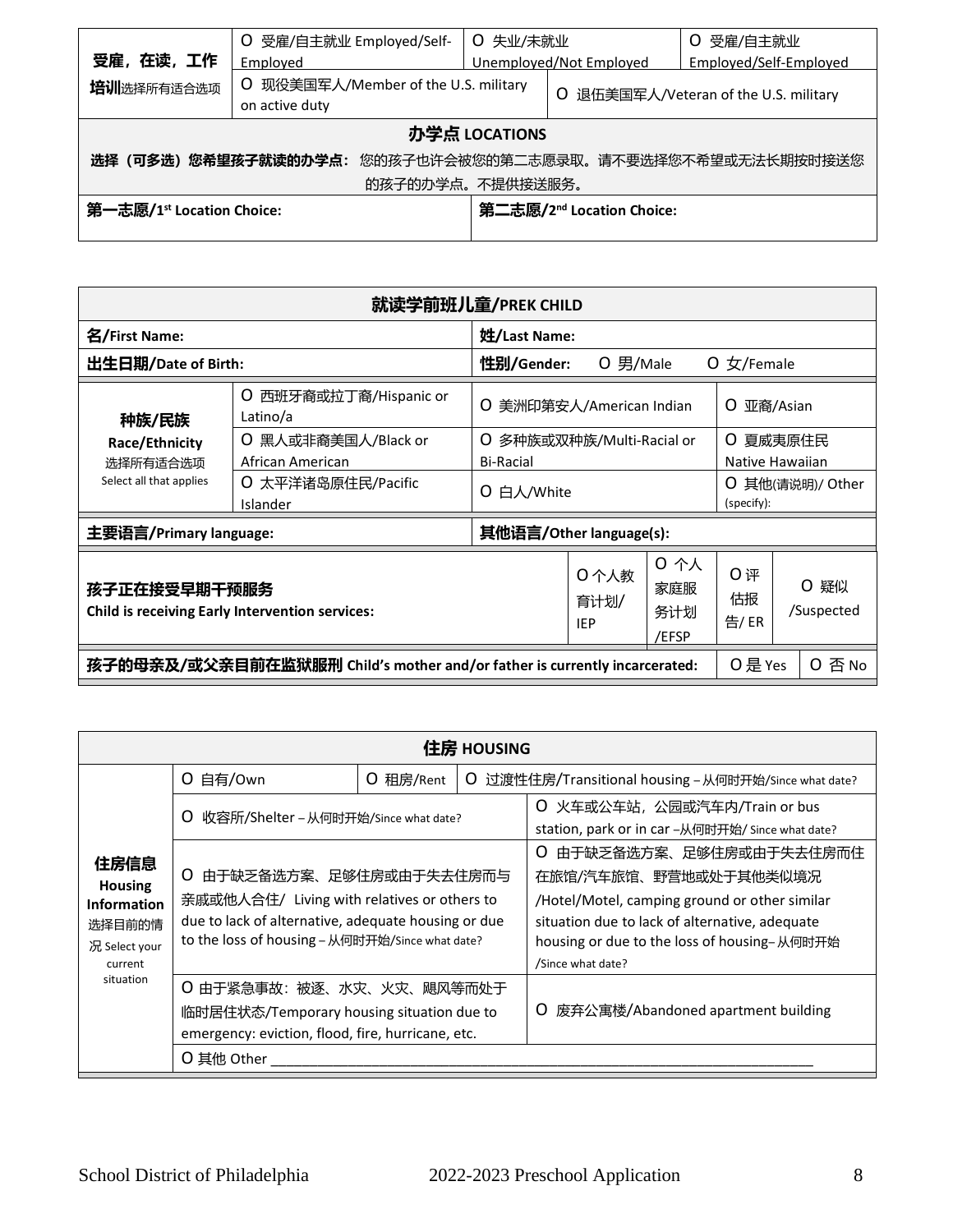| 受雇, 在读, 工作                                                       | O 受雇/自主就业 Employed/Self-<br>Employed                   | ○ 失业/未就业<br>Unemployed/Not Employed |  | 受雇/自主就业<br>O<br>Employed/Self-Employed |  |  |
|------------------------------------------------------------------|--------------------------------------------------------|-------------------------------------|--|----------------------------------------|--|--|
| 培训选择所有适合选项                                                       | O 现役美国军人/Member of the U.S. military<br>on active duty | 退伍美国军人/Veteran of the U.S. military |  |                                        |  |  |
| 办学点 LOCATIONS                                                    |                                                        |                                     |  |                                        |  |  |
| <b>选择(可多选)您希望孩子就读的办学点</b> : 您的孩子也许会被您的第二志愿录取。请不要选择您不希望或无法长期按时接送您 |                                                        |                                     |  |                                        |  |  |
| 的孩子的办学点。不提供接送服务。                                                 |                                                        |                                     |  |                                        |  |  |
| 第一志愿/1 <sup>st</sup> Location Choice:                            | 第二志愿/2 <sup>nd</sup> Location Choice:                  |                                     |  |                                        |  |  |
|                                                                  |                                                        |                                     |  |                                        |  |  |

| 就读学前班儿童/PREK CHILD                                                                             |                                         |                                                  |                             |                  |                                   |          |  |
|------------------------------------------------------------------------------------------------|-----------------------------------------|--------------------------------------------------|-----------------------------|------------------|-----------------------------------|----------|--|
| 名/First Name:                                                                                  |                                         | 姓/Last Name:                                     |                             |                  |                                   |          |  |
| 出生日期/Date of Birth:                                                                            |                                         | 性别/Gender:                                       | $O$ 男/Male                  |                  | $0 \times$ /Female                |          |  |
| 西班牙裔或拉丁裔/Hispanic or<br>O<br>Latino/a<br>种族/民族                                                 |                                         | O 美洲印第安人/American Indian<br>O                    |                             |                  |                                   | 亚裔/Asian |  |
| Race/Ethnicity<br>选择所有适合选项                                                                     | O 黑人或非裔美国人/Black or<br>African American | 多种族或双种族/Multi-Racial or<br>O<br><b>Bi-Racial</b> |                             |                  | 夏威夷原住民<br>O<br>Native Hawaiian    |          |  |
| Select all that applies                                                                        | O 太平洋诸岛原住民/Pacific<br>Islander          | 白人/White<br>O                                    |                             |                  | 其他(请说明)/ Other<br>O<br>(specify): |          |  |
| 主要语言/Primary language:                                                                         |                                         | 其他语言/Other language(s):                          |                             |                  |                                   |          |  |
| 孩子正在接受早期干预服务<br><b>Child is receiving Early Intervention services:</b>                         |                                         | 0个人教<br>育计划/<br><b>IEP</b>                       | 0 个人<br>家庭服<br>务计划<br>/EFSP | 0评<br>估报<br>告/ER | ○ 疑似<br>/Suspected                |          |  |
| 孩子的母亲及/或父亲目前在监狱服刑 Child's mother and/or father is currently incarcerated:<br>O 是 Yes<br>O 否 No |                                         |                                                  |                             |                  |                                   |          |  |

|                                                                                    | 住房 HOUSING                                                                                                                                                                           |           |                                                                                                                                                                                                                             |                                                                                   |  |  |  |  |  |
|------------------------------------------------------------------------------------|--------------------------------------------------------------------------------------------------------------------------------------------------------------------------------------|-----------|-----------------------------------------------------------------------------------------------------------------------------------------------------------------------------------------------------------------------------|-----------------------------------------------------------------------------------|--|--|--|--|--|
|                                                                                    | O 自有/Own                                                                                                                                                                             | O 租房/Rent |                                                                                                                                                                                                                             | O 过渡性住房/Transitional housing - 从何时开始/Since what date?                             |  |  |  |  |  |
|                                                                                    | O<br>收容所/Shelter – 从何时开始/Since what date?                                                                                                                                            |           |                                                                                                                                                                                                                             | O 火车或公车站, 公园或汽车内/Train or bus<br>station, park or in car -从何时开始/ Since what date? |  |  |  |  |  |
| 住房信息<br><b>Housing</b><br><b>Information</b><br>选择目前的情<br>况 Select your<br>current | 由于缺乏备选方案、足够住房或由于失去住房而与<br>O<br>亲戚或他人合住/ Living with relatives or others to<br>due to lack of alternative, adequate housing or due<br>to the loss of housing - 从何时开始/Since what date? |           | 由于缺乏备选方案、足够住房或由于失去住房而住<br>O<br>在旅馆/汽车旅馆、野营地或处于其他类似境况<br>/Hotel/Motel, camping ground or other similar<br>situation due to lack of alternative, adequate<br>housing or due to the loss of housing-从何时开始<br>/Since what date? |                                                                                   |  |  |  |  |  |
| situation                                                                          | ○ 由于紧急事故: 被逐、水灾、火灾、飓风等而处于<br>临时居住状态/Temporary housing situation due to<br>emergency: eviction, flood, fire, hurricane, etc.<br>O 其他 Other                                            |           |                                                                                                                                                                                                                             | 废弃公寓楼/Abandoned apartment building<br>O                                           |  |  |  |  |  |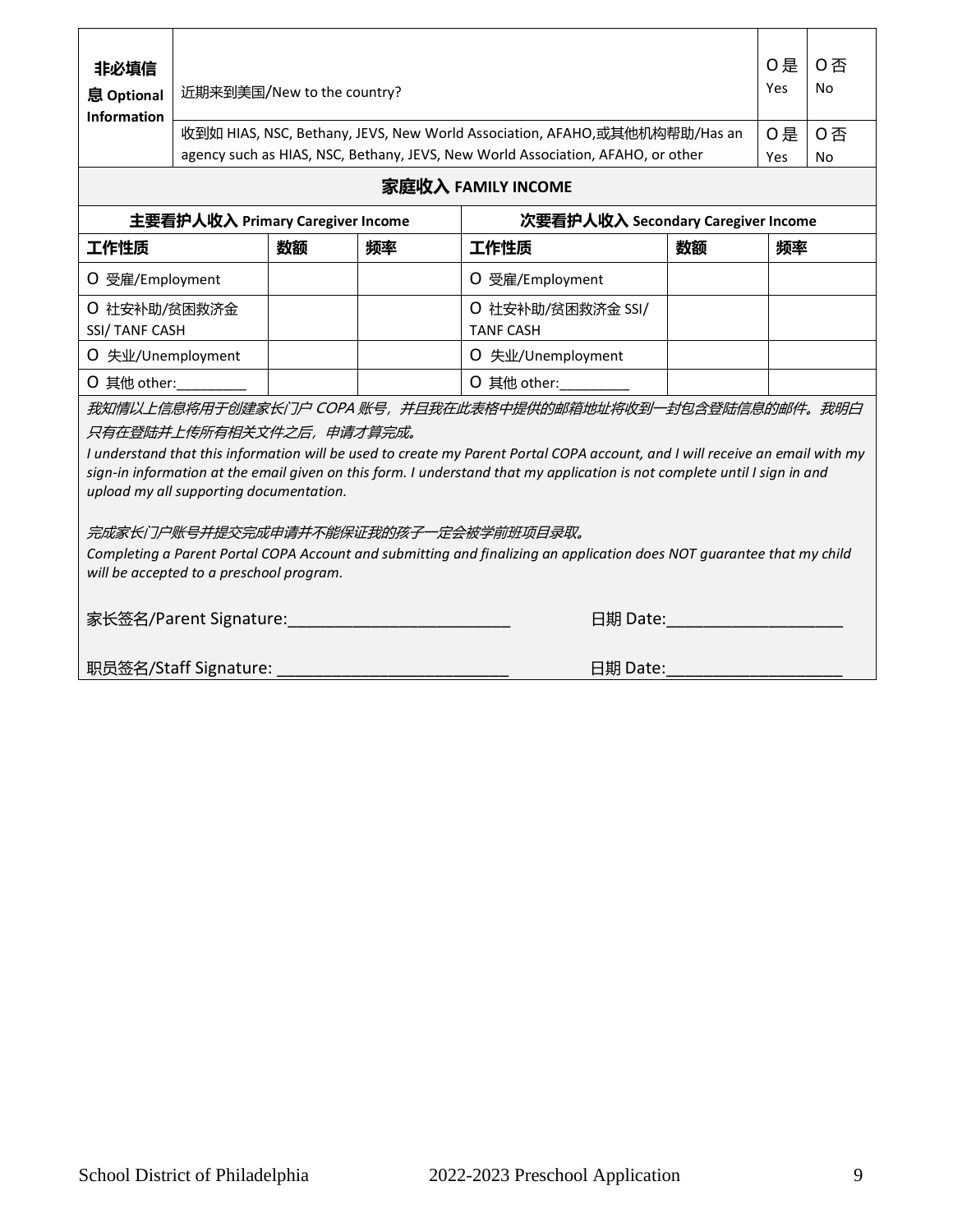| 非必填信<br>息 Optional<br><b>Information</b>                                                                                                                                                                                                                                                                                                                                                       |                                   | 0否<br>O是<br><b>No</b><br>Yes<br>近期来到美国/New to the country? |    |                                                                                                                                                              |    |           |                 |  |  |
|------------------------------------------------------------------------------------------------------------------------------------------------------------------------------------------------------------------------------------------------------------------------------------------------------------------------------------------------------------------------------------------------|-----------------------------------|------------------------------------------------------------|----|--------------------------------------------------------------------------------------------------------------------------------------------------------------|----|-----------|-----------------|--|--|
|                                                                                                                                                                                                                                                                                                                                                                                                |                                   |                                                            |    | 收到如 HIAS, NSC, Bethany, JEVS, New World Association, AFAHO,或其他机构帮助/Has an<br>agency such as HIAS, NSC, Bethany, JEVS, New World Association, AFAHO, or other |    | O是<br>Yes | 0否<br><b>No</b> |  |  |
|                                                                                                                                                                                                                                                                                                                                                                                                | 家庭收入 FAMILY INCOME                |                                                            |    |                                                                                                                                                              |    |           |                 |  |  |
|                                                                                                                                                                                                                                                                                                                                                                                                | 主要看护人收入 Primary Caregiver Income  |                                                            |    | 次要看护人收入 Secondary Caregiver Income                                                                                                                           |    |           |                 |  |  |
| 工作性质                                                                                                                                                                                                                                                                                                                                                                                           |                                   | 数额                                                         | 频率 | 工作性质                                                                                                                                                         | 数额 | 频率        |                 |  |  |
| O 受雇/Employment                                                                                                                                                                                                                                                                                                                                                                                |                                   |                                                            |    | O 受雇/Employment                                                                                                                                              |    |           |                 |  |  |
| ○ 社安补助/贫困救济金<br><b>SSI/TANF CASH</b>                                                                                                                                                                                                                                                                                                                                                           |                                   |                                                            |    | O 社安补助/贫困救济金 SSI/<br><b>TANF CASH</b>                                                                                                                        |    |           |                 |  |  |
| O 失业/Unemployment                                                                                                                                                                                                                                                                                                                                                                              |                                   |                                                            |    | O 失业/Unemployment                                                                                                                                            |    |           |                 |  |  |
| O 其他 other:                                                                                                                                                                                                                                                                                                                                                                                    |                                   |                                                            |    | O 其他 other:                                                                                                                                                  |    |           |                 |  |  |
| 我知情以上信息将用于创建家长门户 COPA 账号,并且我在此表格中提供的邮箱地址将收到一封包含登陆信息的邮件。我明白<br>只有在登陆并上传所有相关文件之后,申请才算完成。<br>I understand that this information will be used to create my Parent Portal COPA account, and I will receive an email with my<br>sign-in information at the email given on this form. I understand that my application is not complete until I sign in and<br>upload my all supporting documentation. |                                   |                                                            |    |                                                                                                                                                              |    |           |                 |  |  |
| 完成家长门户账号并提交完成申请并不能保证我的孩子一定会被学前班项目录取。<br>Completing a Parent Portal COPA Account and submitting and finalizing an application does NOT guarantee that my child<br>will be accepted to a preschool program.                                                                                                                                                                                      |                                   |                                                            |    |                                                                                                                                                              |    |           |                 |  |  |
|                                                                                                                                                                                                                                                                                                                                                                                                | 家长签名/Parent Signature:            |                                                            |    | 日期 Date:                                                                                                                                                     |    |           |                 |  |  |
|                                                                                                                                                                                                                                                                                                                                                                                                | 职员签名/Staff Signature:<br>日期 Date: |                                                            |    |                                                                                                                                                              |    |           |                 |  |  |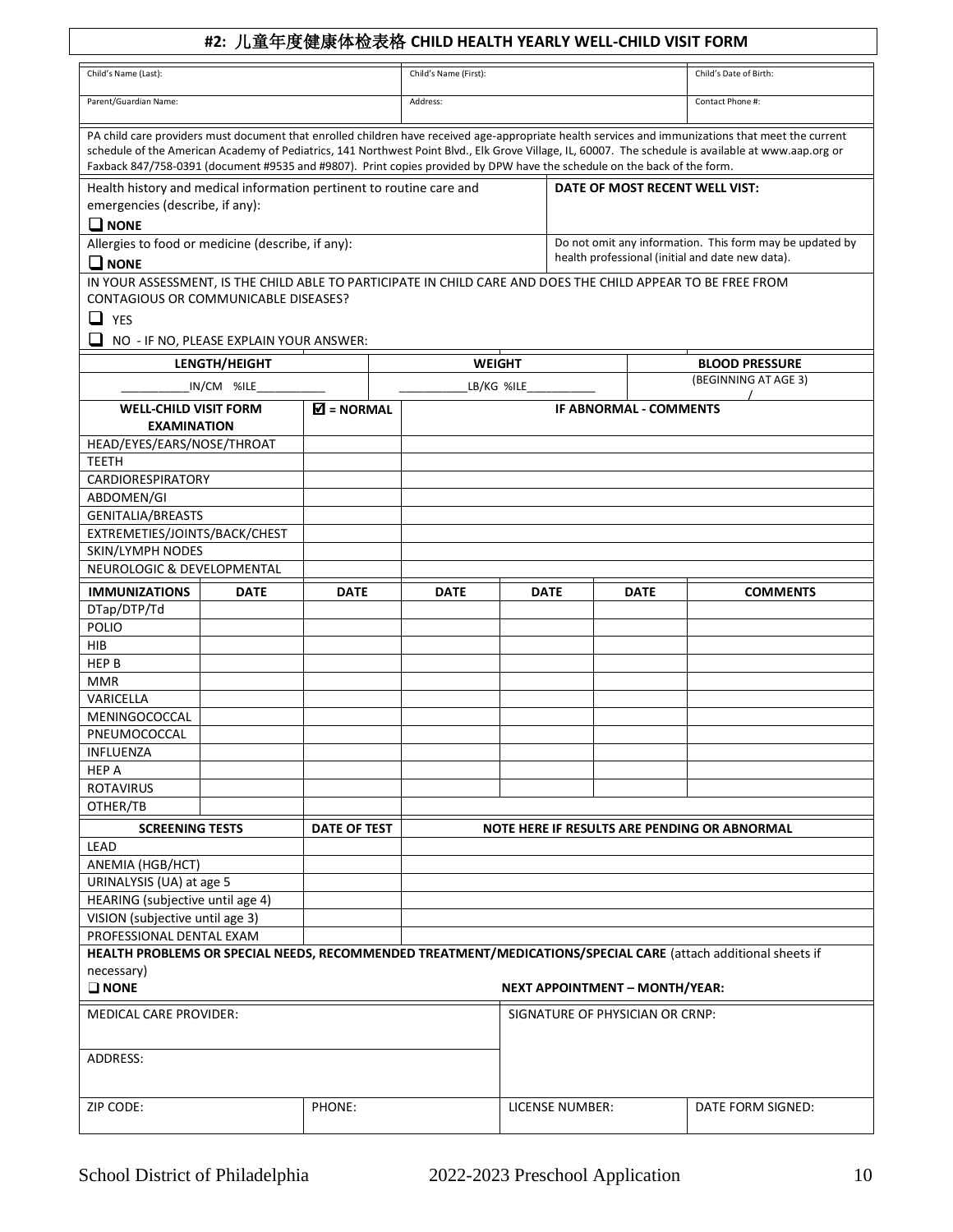## **#2:** 儿童年度健康体检表格 **CHILD HEALTH YEARLY WELL-CHILD VISIT FORM**

| Parent/Guardian Name:<br>Address:<br>Contact Phone #:<br>PA child care providers must document that enrolled children have received age-appropriate health services and immunizations that meet the current<br>schedule of the American Academy of Pediatrics, 141 Northwest Point Blvd., Elk Grove Village, IL, 60007. The schedule is available at www.aap.org or<br>Faxback 847/758-0391 (document #9535 and #9807). Print copies provided by DPW have the schedule on the back of the form.<br>Health history and medical information pertinent to routine care and<br>DATE OF MOST RECENT WELL VIST:<br>emergencies (describe, if any):<br>$\Box$ NONE<br>Do not omit any information. This form may be updated by<br>Allergies to food or medicine (describe, if any):<br>health professional (initial and date new data).<br>$\Box$ NONE<br>IN YOUR ASSESSMENT, IS THE CHILD ABLE TO PARTICIPATE IN CHILD CARE AND DOES THE CHILD APPEAR TO BE FREE FROM<br>CONTAGIOUS OR COMMUNICABLE DISEASES?<br>$\Box$ YES<br>❏<br>NO - IF NO, PLEASE EXPLAIN YOUR ANSWER:<br>LENGTH/HEIGHT<br><b>WEIGHT</b><br><b>BLOOD PRESSURE</b><br>(BEGINNING AT AGE 3)<br>LB/KG %ILE<br>IN/CM %ILE<br>$\overline{\mathbf{M}}$ = NORMAL<br><b>WELL-CHILD VISIT FORM</b><br><b>IF ABNORMAL - COMMENTS</b><br><b>EXAMINATION</b><br>HEAD/EYES/EARS/NOSE/THROAT<br><b>TEETH</b><br>CARDIORESPIRATORY<br>ABDOMEN/GI<br><b>GENITALIA/BREASTS</b><br>EXTREMETIES/JOINTS/BACK/CHEST<br><b>SKIN/LYMPH NODES</b><br>NEUROLOGIC & DEVELOPMENTAL<br><b>IMMUNIZATIONS</b><br><b>DATE</b><br><b>COMMENTS</b><br><b>DATE</b><br><b>DATE</b><br><b>DATE</b><br><b>DATE</b><br>DTap/DTP/Td<br>POLIO<br>HIB<br>HEP B<br><b>MMR</b><br>VARICELLA<br>MENINGOCOCCAL<br>PNEUMOCOCCAL<br>INFLUENZA<br><b>HEP A</b><br><b>ROTAVIRUS</b><br>OTHER/TB<br><b>SCREENING TESTS</b><br><b>DATE OF TEST</b><br>NOTE HERE IF RESULTS ARE PENDING OR ABNORMAL<br>LEAD<br>ANEMIA (HGB/HCT)<br>URINALYSIS (UA) at age 5<br>HEARING (subjective until age 4)<br>VISION (subjective until age 3)<br>PROFESSIONAL DENTAL EXAM<br>HEALTH PROBLEMS OR SPECIAL NEEDS, RECOMMENDED TREATMENT/MEDICATIONS/SPECIAL CARE (attach additional sheets if<br>necessary)<br>$\square$ NONE<br><b>NEXT APPOINTMENT - MONTH/YEAR:</b><br><b>MEDICAL CARE PROVIDER:</b><br>SIGNATURE OF PHYSICIAN OR CRNP:<br>ADDRESS:<br>ZIP CODE:<br>PHONE:<br>LICENSE NUMBER:<br>DATE FORM SIGNED: | Child's Name (Last): |  | Child's Name (First): |  |  | Child's Date of Birth: |  |
|--------------------------------------------------------------------------------------------------------------------------------------------------------------------------------------------------------------------------------------------------------------------------------------------------------------------------------------------------------------------------------------------------------------------------------------------------------------------------------------------------------------------------------------------------------------------------------------------------------------------------------------------------------------------------------------------------------------------------------------------------------------------------------------------------------------------------------------------------------------------------------------------------------------------------------------------------------------------------------------------------------------------------------------------------------------------------------------------------------------------------------------------------------------------------------------------------------------------------------------------------------------------------------------------------------------------------------------------------------------------------------------------------------------------------------------------------------------------------------------------------------------------------------------------------------------------------------------------------------------------------------------------------------------------------------------------------------------------------------------------------------------------------------------------------------------------------------------------------------------------------------------------------------------------------------------------------------------------------------------------------------------------------------------------------------------------------------------------------------------------------------------------------------------------------------------------------------------------------------------------------------------------------------------------------------------------------------------------------------------------------------------------------------------------|----------------------|--|-----------------------|--|--|------------------------|--|
|                                                                                                                                                                                                                                                                                                                                                                                                                                                                                                                                                                                                                                                                                                                                                                                                                                                                                                                                                                                                                                                                                                                                                                                                                                                                                                                                                                                                                                                                                                                                                                                                                                                                                                                                                                                                                                                                                                                                                                                                                                                                                                                                                                                                                                                                                                                                                                                                                    |                      |  |                       |  |  |                        |  |
|                                                                                                                                                                                                                                                                                                                                                                                                                                                                                                                                                                                                                                                                                                                                                                                                                                                                                                                                                                                                                                                                                                                                                                                                                                                                                                                                                                                                                                                                                                                                                                                                                                                                                                                                                                                                                                                                                                                                                                                                                                                                                                                                                                                                                                                                                                                                                                                                                    |                      |  |                       |  |  |                        |  |
|                                                                                                                                                                                                                                                                                                                                                                                                                                                                                                                                                                                                                                                                                                                                                                                                                                                                                                                                                                                                                                                                                                                                                                                                                                                                                                                                                                                                                                                                                                                                                                                                                                                                                                                                                                                                                                                                                                                                                                                                                                                                                                                                                                                                                                                                                                                                                                                                                    |                      |  |                       |  |  |                        |  |
|                                                                                                                                                                                                                                                                                                                                                                                                                                                                                                                                                                                                                                                                                                                                                                                                                                                                                                                                                                                                                                                                                                                                                                                                                                                                                                                                                                                                                                                                                                                                                                                                                                                                                                                                                                                                                                                                                                                                                                                                                                                                                                                                                                                                                                                                                                                                                                                                                    |                      |  |                       |  |  |                        |  |
|                                                                                                                                                                                                                                                                                                                                                                                                                                                                                                                                                                                                                                                                                                                                                                                                                                                                                                                                                                                                                                                                                                                                                                                                                                                                                                                                                                                                                                                                                                                                                                                                                                                                                                                                                                                                                                                                                                                                                                                                                                                                                                                                                                                                                                                                                                                                                                                                                    |                      |  |                       |  |  |                        |  |
|                                                                                                                                                                                                                                                                                                                                                                                                                                                                                                                                                                                                                                                                                                                                                                                                                                                                                                                                                                                                                                                                                                                                                                                                                                                                                                                                                                                                                                                                                                                                                                                                                                                                                                                                                                                                                                                                                                                                                                                                                                                                                                                                                                                                                                                                                                                                                                                                                    |                      |  |                       |  |  |                        |  |
|                                                                                                                                                                                                                                                                                                                                                                                                                                                                                                                                                                                                                                                                                                                                                                                                                                                                                                                                                                                                                                                                                                                                                                                                                                                                                                                                                                                                                                                                                                                                                                                                                                                                                                                                                                                                                                                                                                                                                                                                                                                                                                                                                                                                                                                                                                                                                                                                                    |                      |  |                       |  |  |                        |  |
|                                                                                                                                                                                                                                                                                                                                                                                                                                                                                                                                                                                                                                                                                                                                                                                                                                                                                                                                                                                                                                                                                                                                                                                                                                                                                                                                                                                                                                                                                                                                                                                                                                                                                                                                                                                                                                                                                                                                                                                                                                                                                                                                                                                                                                                                                                                                                                                                                    |                      |  |                       |  |  |                        |  |
|                                                                                                                                                                                                                                                                                                                                                                                                                                                                                                                                                                                                                                                                                                                                                                                                                                                                                                                                                                                                                                                                                                                                                                                                                                                                                                                                                                                                                                                                                                                                                                                                                                                                                                                                                                                                                                                                                                                                                                                                                                                                                                                                                                                                                                                                                                                                                                                                                    |                      |  |                       |  |  |                        |  |
|                                                                                                                                                                                                                                                                                                                                                                                                                                                                                                                                                                                                                                                                                                                                                                                                                                                                                                                                                                                                                                                                                                                                                                                                                                                                                                                                                                                                                                                                                                                                                                                                                                                                                                                                                                                                                                                                                                                                                                                                                                                                                                                                                                                                                                                                                                                                                                                                                    |                      |  |                       |  |  |                        |  |
|                                                                                                                                                                                                                                                                                                                                                                                                                                                                                                                                                                                                                                                                                                                                                                                                                                                                                                                                                                                                                                                                                                                                                                                                                                                                                                                                                                                                                                                                                                                                                                                                                                                                                                                                                                                                                                                                                                                                                                                                                                                                                                                                                                                                                                                                                                                                                                                                                    |                      |  |                       |  |  |                        |  |
|                                                                                                                                                                                                                                                                                                                                                                                                                                                                                                                                                                                                                                                                                                                                                                                                                                                                                                                                                                                                                                                                                                                                                                                                                                                                                                                                                                                                                                                                                                                                                                                                                                                                                                                                                                                                                                                                                                                                                                                                                                                                                                                                                                                                                                                                                                                                                                                                                    |                      |  |                       |  |  |                        |  |
|                                                                                                                                                                                                                                                                                                                                                                                                                                                                                                                                                                                                                                                                                                                                                                                                                                                                                                                                                                                                                                                                                                                                                                                                                                                                                                                                                                                                                                                                                                                                                                                                                                                                                                                                                                                                                                                                                                                                                                                                                                                                                                                                                                                                                                                                                                                                                                                                                    |                      |  |                       |  |  |                        |  |
|                                                                                                                                                                                                                                                                                                                                                                                                                                                                                                                                                                                                                                                                                                                                                                                                                                                                                                                                                                                                                                                                                                                                                                                                                                                                                                                                                                                                                                                                                                                                                                                                                                                                                                                                                                                                                                                                                                                                                                                                                                                                                                                                                                                                                                                                                                                                                                                                                    |                      |  |                       |  |  |                        |  |
|                                                                                                                                                                                                                                                                                                                                                                                                                                                                                                                                                                                                                                                                                                                                                                                                                                                                                                                                                                                                                                                                                                                                                                                                                                                                                                                                                                                                                                                                                                                                                                                                                                                                                                                                                                                                                                                                                                                                                                                                                                                                                                                                                                                                                                                                                                                                                                                                                    |                      |  |                       |  |  |                        |  |
|                                                                                                                                                                                                                                                                                                                                                                                                                                                                                                                                                                                                                                                                                                                                                                                                                                                                                                                                                                                                                                                                                                                                                                                                                                                                                                                                                                                                                                                                                                                                                                                                                                                                                                                                                                                                                                                                                                                                                                                                                                                                                                                                                                                                                                                                                                                                                                                                                    |                      |  |                       |  |  |                        |  |
|                                                                                                                                                                                                                                                                                                                                                                                                                                                                                                                                                                                                                                                                                                                                                                                                                                                                                                                                                                                                                                                                                                                                                                                                                                                                                                                                                                                                                                                                                                                                                                                                                                                                                                                                                                                                                                                                                                                                                                                                                                                                                                                                                                                                                                                                                                                                                                                                                    |                      |  |                       |  |  |                        |  |
|                                                                                                                                                                                                                                                                                                                                                                                                                                                                                                                                                                                                                                                                                                                                                                                                                                                                                                                                                                                                                                                                                                                                                                                                                                                                                                                                                                                                                                                                                                                                                                                                                                                                                                                                                                                                                                                                                                                                                                                                                                                                                                                                                                                                                                                                                                                                                                                                                    |                      |  |                       |  |  |                        |  |
|                                                                                                                                                                                                                                                                                                                                                                                                                                                                                                                                                                                                                                                                                                                                                                                                                                                                                                                                                                                                                                                                                                                                                                                                                                                                                                                                                                                                                                                                                                                                                                                                                                                                                                                                                                                                                                                                                                                                                                                                                                                                                                                                                                                                                                                                                                                                                                                                                    |                      |  |                       |  |  |                        |  |
|                                                                                                                                                                                                                                                                                                                                                                                                                                                                                                                                                                                                                                                                                                                                                                                                                                                                                                                                                                                                                                                                                                                                                                                                                                                                                                                                                                                                                                                                                                                                                                                                                                                                                                                                                                                                                                                                                                                                                                                                                                                                                                                                                                                                                                                                                                                                                                                                                    |                      |  |                       |  |  |                        |  |
|                                                                                                                                                                                                                                                                                                                                                                                                                                                                                                                                                                                                                                                                                                                                                                                                                                                                                                                                                                                                                                                                                                                                                                                                                                                                                                                                                                                                                                                                                                                                                                                                                                                                                                                                                                                                                                                                                                                                                                                                                                                                                                                                                                                                                                                                                                                                                                                                                    |                      |  |                       |  |  |                        |  |
|                                                                                                                                                                                                                                                                                                                                                                                                                                                                                                                                                                                                                                                                                                                                                                                                                                                                                                                                                                                                                                                                                                                                                                                                                                                                                                                                                                                                                                                                                                                                                                                                                                                                                                                                                                                                                                                                                                                                                                                                                                                                                                                                                                                                                                                                                                                                                                                                                    |                      |  |                       |  |  |                        |  |
|                                                                                                                                                                                                                                                                                                                                                                                                                                                                                                                                                                                                                                                                                                                                                                                                                                                                                                                                                                                                                                                                                                                                                                                                                                                                                                                                                                                                                                                                                                                                                                                                                                                                                                                                                                                                                                                                                                                                                                                                                                                                                                                                                                                                                                                                                                                                                                                                                    |                      |  |                       |  |  |                        |  |
|                                                                                                                                                                                                                                                                                                                                                                                                                                                                                                                                                                                                                                                                                                                                                                                                                                                                                                                                                                                                                                                                                                                                                                                                                                                                                                                                                                                                                                                                                                                                                                                                                                                                                                                                                                                                                                                                                                                                                                                                                                                                                                                                                                                                                                                                                                                                                                                                                    |                      |  |                       |  |  |                        |  |
|                                                                                                                                                                                                                                                                                                                                                                                                                                                                                                                                                                                                                                                                                                                                                                                                                                                                                                                                                                                                                                                                                                                                                                                                                                                                                                                                                                                                                                                                                                                                                                                                                                                                                                                                                                                                                                                                                                                                                                                                                                                                                                                                                                                                                                                                                                                                                                                                                    |                      |  |                       |  |  |                        |  |
|                                                                                                                                                                                                                                                                                                                                                                                                                                                                                                                                                                                                                                                                                                                                                                                                                                                                                                                                                                                                                                                                                                                                                                                                                                                                                                                                                                                                                                                                                                                                                                                                                                                                                                                                                                                                                                                                                                                                                                                                                                                                                                                                                                                                                                                                                                                                                                                                                    |                      |  |                       |  |  |                        |  |
|                                                                                                                                                                                                                                                                                                                                                                                                                                                                                                                                                                                                                                                                                                                                                                                                                                                                                                                                                                                                                                                                                                                                                                                                                                                                                                                                                                                                                                                                                                                                                                                                                                                                                                                                                                                                                                                                                                                                                                                                                                                                                                                                                                                                                                                                                                                                                                                                                    |                      |  |                       |  |  |                        |  |
|                                                                                                                                                                                                                                                                                                                                                                                                                                                                                                                                                                                                                                                                                                                                                                                                                                                                                                                                                                                                                                                                                                                                                                                                                                                                                                                                                                                                                                                                                                                                                                                                                                                                                                                                                                                                                                                                                                                                                                                                                                                                                                                                                                                                                                                                                                                                                                                                                    |                      |  |                       |  |  |                        |  |
|                                                                                                                                                                                                                                                                                                                                                                                                                                                                                                                                                                                                                                                                                                                                                                                                                                                                                                                                                                                                                                                                                                                                                                                                                                                                                                                                                                                                                                                                                                                                                                                                                                                                                                                                                                                                                                                                                                                                                                                                                                                                                                                                                                                                                                                                                                                                                                                                                    |                      |  |                       |  |  |                        |  |
|                                                                                                                                                                                                                                                                                                                                                                                                                                                                                                                                                                                                                                                                                                                                                                                                                                                                                                                                                                                                                                                                                                                                                                                                                                                                                                                                                                                                                                                                                                                                                                                                                                                                                                                                                                                                                                                                                                                                                                                                                                                                                                                                                                                                                                                                                                                                                                                                                    |                      |  |                       |  |  |                        |  |
|                                                                                                                                                                                                                                                                                                                                                                                                                                                                                                                                                                                                                                                                                                                                                                                                                                                                                                                                                                                                                                                                                                                                                                                                                                                                                                                                                                                                                                                                                                                                                                                                                                                                                                                                                                                                                                                                                                                                                                                                                                                                                                                                                                                                                                                                                                                                                                                                                    |                      |  |                       |  |  |                        |  |
|                                                                                                                                                                                                                                                                                                                                                                                                                                                                                                                                                                                                                                                                                                                                                                                                                                                                                                                                                                                                                                                                                                                                                                                                                                                                                                                                                                                                                                                                                                                                                                                                                                                                                                                                                                                                                                                                                                                                                                                                                                                                                                                                                                                                                                                                                                                                                                                                                    |                      |  |                       |  |  |                        |  |
|                                                                                                                                                                                                                                                                                                                                                                                                                                                                                                                                                                                                                                                                                                                                                                                                                                                                                                                                                                                                                                                                                                                                                                                                                                                                                                                                                                                                                                                                                                                                                                                                                                                                                                                                                                                                                                                                                                                                                                                                                                                                                                                                                                                                                                                                                                                                                                                                                    |                      |  |                       |  |  |                        |  |
|                                                                                                                                                                                                                                                                                                                                                                                                                                                                                                                                                                                                                                                                                                                                                                                                                                                                                                                                                                                                                                                                                                                                                                                                                                                                                                                                                                                                                                                                                                                                                                                                                                                                                                                                                                                                                                                                                                                                                                                                                                                                                                                                                                                                                                                                                                                                                                                                                    |                      |  |                       |  |  |                        |  |
|                                                                                                                                                                                                                                                                                                                                                                                                                                                                                                                                                                                                                                                                                                                                                                                                                                                                                                                                                                                                                                                                                                                                                                                                                                                                                                                                                                                                                                                                                                                                                                                                                                                                                                                                                                                                                                                                                                                                                                                                                                                                                                                                                                                                                                                                                                                                                                                                                    |                      |  |                       |  |  |                        |  |
|                                                                                                                                                                                                                                                                                                                                                                                                                                                                                                                                                                                                                                                                                                                                                                                                                                                                                                                                                                                                                                                                                                                                                                                                                                                                                                                                                                                                                                                                                                                                                                                                                                                                                                                                                                                                                                                                                                                                                                                                                                                                                                                                                                                                                                                                                                                                                                                                                    |                      |  |                       |  |  |                        |  |
|                                                                                                                                                                                                                                                                                                                                                                                                                                                                                                                                                                                                                                                                                                                                                                                                                                                                                                                                                                                                                                                                                                                                                                                                                                                                                                                                                                                                                                                                                                                                                                                                                                                                                                                                                                                                                                                                                                                                                                                                                                                                                                                                                                                                                                                                                                                                                                                                                    |                      |  |                       |  |  |                        |  |
|                                                                                                                                                                                                                                                                                                                                                                                                                                                                                                                                                                                                                                                                                                                                                                                                                                                                                                                                                                                                                                                                                                                                                                                                                                                                                                                                                                                                                                                                                                                                                                                                                                                                                                                                                                                                                                                                                                                                                                                                                                                                                                                                                                                                                                                                                                                                                                                                                    |                      |  |                       |  |  |                        |  |
|                                                                                                                                                                                                                                                                                                                                                                                                                                                                                                                                                                                                                                                                                                                                                                                                                                                                                                                                                                                                                                                                                                                                                                                                                                                                                                                                                                                                                                                                                                                                                                                                                                                                                                                                                                                                                                                                                                                                                                                                                                                                                                                                                                                                                                                                                                                                                                                                                    |                      |  |                       |  |  |                        |  |
|                                                                                                                                                                                                                                                                                                                                                                                                                                                                                                                                                                                                                                                                                                                                                                                                                                                                                                                                                                                                                                                                                                                                                                                                                                                                                                                                                                                                                                                                                                                                                                                                                                                                                                                                                                                                                                                                                                                                                                                                                                                                                                                                                                                                                                                                                                                                                                                                                    |                      |  |                       |  |  |                        |  |
|                                                                                                                                                                                                                                                                                                                                                                                                                                                                                                                                                                                                                                                                                                                                                                                                                                                                                                                                                                                                                                                                                                                                                                                                                                                                                                                                                                                                                                                                                                                                                                                                                                                                                                                                                                                                                                                                                                                                                                                                                                                                                                                                                                                                                                                                                                                                                                                                                    |                      |  |                       |  |  |                        |  |
|                                                                                                                                                                                                                                                                                                                                                                                                                                                                                                                                                                                                                                                                                                                                                                                                                                                                                                                                                                                                                                                                                                                                                                                                                                                                                                                                                                                                                                                                                                                                                                                                                                                                                                                                                                                                                                                                                                                                                                                                                                                                                                                                                                                                                                                                                                                                                                                                                    |                      |  |                       |  |  |                        |  |
|                                                                                                                                                                                                                                                                                                                                                                                                                                                                                                                                                                                                                                                                                                                                                                                                                                                                                                                                                                                                                                                                                                                                                                                                                                                                                                                                                                                                                                                                                                                                                                                                                                                                                                                                                                                                                                                                                                                                                                                                                                                                                                                                                                                                                                                                                                                                                                                                                    |                      |  |                       |  |  |                        |  |
|                                                                                                                                                                                                                                                                                                                                                                                                                                                                                                                                                                                                                                                                                                                                                                                                                                                                                                                                                                                                                                                                                                                                                                                                                                                                                                                                                                                                                                                                                                                                                                                                                                                                                                                                                                                                                                                                                                                                                                                                                                                                                                                                                                                                                                                                                                                                                                                                                    |                      |  |                       |  |  |                        |  |
|                                                                                                                                                                                                                                                                                                                                                                                                                                                                                                                                                                                                                                                                                                                                                                                                                                                                                                                                                                                                                                                                                                                                                                                                                                                                                                                                                                                                                                                                                                                                                                                                                                                                                                                                                                                                                                                                                                                                                                                                                                                                                                                                                                                                                                                                                                                                                                                                                    |                      |  |                       |  |  |                        |  |
|                                                                                                                                                                                                                                                                                                                                                                                                                                                                                                                                                                                                                                                                                                                                                                                                                                                                                                                                                                                                                                                                                                                                                                                                                                                                                                                                                                                                                                                                                                                                                                                                                                                                                                                                                                                                                                                                                                                                                                                                                                                                                                                                                                                                                                                                                                                                                                                                                    |                      |  |                       |  |  |                        |  |
|                                                                                                                                                                                                                                                                                                                                                                                                                                                                                                                                                                                                                                                                                                                                                                                                                                                                                                                                                                                                                                                                                                                                                                                                                                                                                                                                                                                                                                                                                                                                                                                                                                                                                                                                                                                                                                                                                                                                                                                                                                                                                                                                                                                                                                                                                                                                                                                                                    |                      |  |                       |  |  |                        |  |
|                                                                                                                                                                                                                                                                                                                                                                                                                                                                                                                                                                                                                                                                                                                                                                                                                                                                                                                                                                                                                                                                                                                                                                                                                                                                                                                                                                                                                                                                                                                                                                                                                                                                                                                                                                                                                                                                                                                                                                                                                                                                                                                                                                                                                                                                                                                                                                                                                    |                      |  |                       |  |  |                        |  |
|                                                                                                                                                                                                                                                                                                                                                                                                                                                                                                                                                                                                                                                                                                                                                                                                                                                                                                                                                                                                                                                                                                                                                                                                                                                                                                                                                                                                                                                                                                                                                                                                                                                                                                                                                                                                                                                                                                                                                                                                                                                                                                                                                                                                                                                                                                                                                                                                                    |                      |  |                       |  |  |                        |  |
|                                                                                                                                                                                                                                                                                                                                                                                                                                                                                                                                                                                                                                                                                                                                                                                                                                                                                                                                                                                                                                                                                                                                                                                                                                                                                                                                                                                                                                                                                                                                                                                                                                                                                                                                                                                                                                                                                                                                                                                                                                                                                                                                                                                                                                                                                                                                                                                                                    |                      |  |                       |  |  |                        |  |
|                                                                                                                                                                                                                                                                                                                                                                                                                                                                                                                                                                                                                                                                                                                                                                                                                                                                                                                                                                                                                                                                                                                                                                                                                                                                                                                                                                                                                                                                                                                                                                                                                                                                                                                                                                                                                                                                                                                                                                                                                                                                                                                                                                                                                                                                                                                                                                                                                    |                      |  |                       |  |  |                        |  |
|                                                                                                                                                                                                                                                                                                                                                                                                                                                                                                                                                                                                                                                                                                                                                                                                                                                                                                                                                                                                                                                                                                                                                                                                                                                                                                                                                                                                                                                                                                                                                                                                                                                                                                                                                                                                                                                                                                                                                                                                                                                                                                                                                                                                                                                                                                                                                                                                                    |                      |  |                       |  |  |                        |  |
|                                                                                                                                                                                                                                                                                                                                                                                                                                                                                                                                                                                                                                                                                                                                                                                                                                                                                                                                                                                                                                                                                                                                                                                                                                                                                                                                                                                                                                                                                                                                                                                                                                                                                                                                                                                                                                                                                                                                                                                                                                                                                                                                                                                                                                                                                                                                                                                                                    |                      |  |                       |  |  |                        |  |
|                                                                                                                                                                                                                                                                                                                                                                                                                                                                                                                                                                                                                                                                                                                                                                                                                                                                                                                                                                                                                                                                                                                                                                                                                                                                                                                                                                                                                                                                                                                                                                                                                                                                                                                                                                                                                                                                                                                                                                                                                                                                                                                                                                                                                                                                                                                                                                                                                    |                      |  |                       |  |  |                        |  |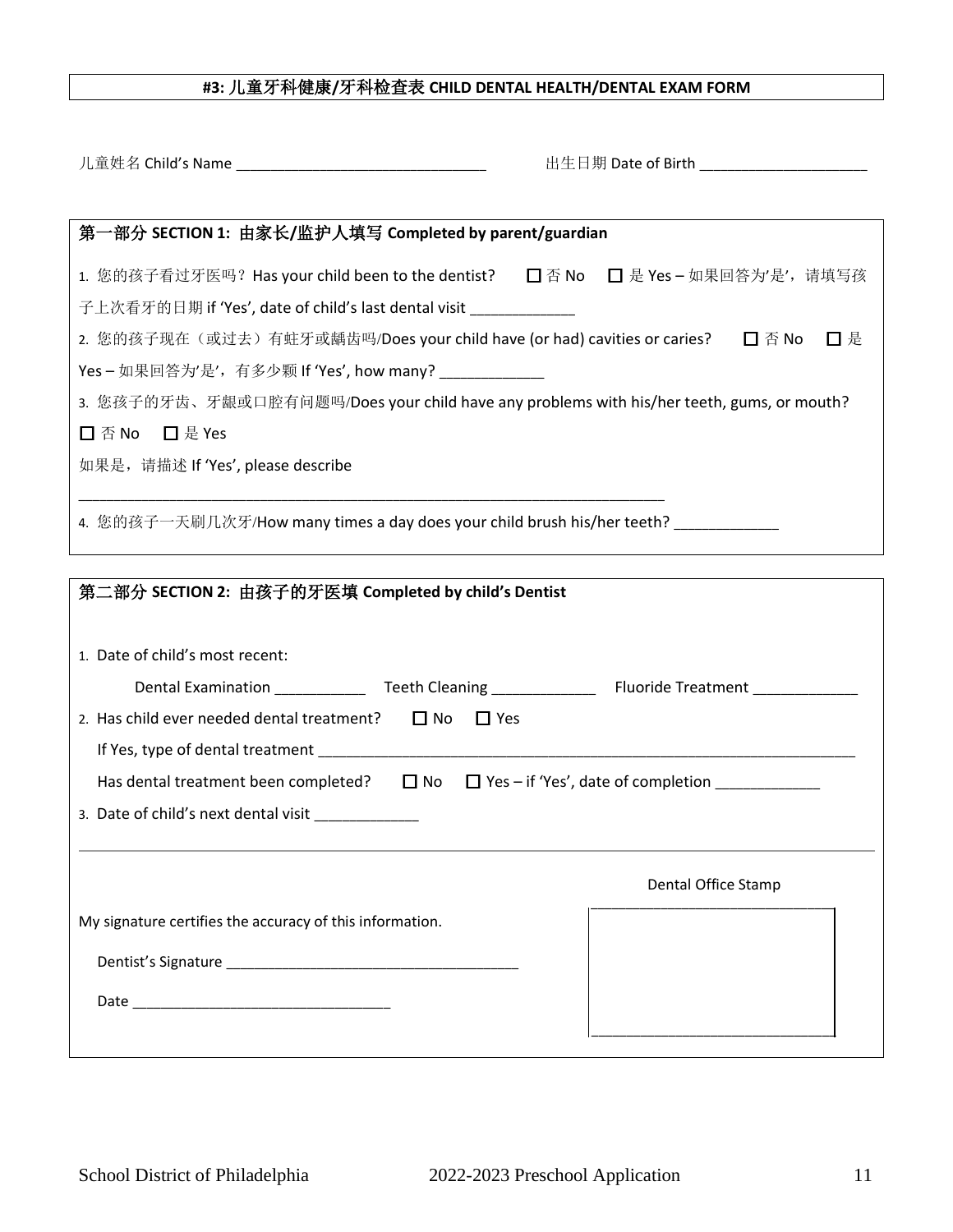## **#3:** 儿童牙科健康**/**牙科检查表 **CHILD DENTAL HEALTH/DENTAL EXAM FORM**

|                                                                                                        | 出生日期 Date of Birth _______________________ |  |  |  |  |
|--------------------------------------------------------------------------------------------------------|--------------------------------------------|--|--|--|--|
|                                                                                                        |                                            |  |  |  |  |
| 第一部分 SECTION 1: 由家长/监护人填写 Completed by parent/guardian                                                 |                                            |  |  |  |  |
| 1. 您的孩子看过牙医吗? Has your child been to the dentist? □ 否 No □ 是 Yes - 如果回答为'是', 请填写孩                      |                                            |  |  |  |  |
| 子上次看牙的日期 if 'Yes', date of child's last dental visit ______________                                    |                                            |  |  |  |  |
| 2. 您的孩子现在(或过去)有蛀牙或龋齿吗/Does your child have (or had) cavities or caries? □ △ Alo                        | 口是                                         |  |  |  |  |
| Yes - 如果回答为'是',有多少颗 If 'Yes', how many? ______________                                                 |                                            |  |  |  |  |
| 3. 您孩子的牙齿、牙龈或口腔有问题吗/Does your child have any problems with his/her teeth, gums, or mouth?              |                                            |  |  |  |  |
| □ 否 No □ 是 Yes                                                                                         |                                            |  |  |  |  |
| 如果是, 请描述 If 'Yes', please describe                                                                     |                                            |  |  |  |  |
|                                                                                                        |                                            |  |  |  |  |
| 4. 您的孩子一天刷几次牙/How many times a day does your child brush his/her teeth? ____________                   |                                            |  |  |  |  |
|                                                                                                        |                                            |  |  |  |  |
| 第二部分 SECTION 2: 由孩子的牙医填 Completed by child's Dentist                                                   |                                            |  |  |  |  |
|                                                                                                        |                                            |  |  |  |  |
| 1. Date of child's most recent:                                                                        |                                            |  |  |  |  |
| Dental Examination _______________Teeth Cleaning ________________________________                      |                                            |  |  |  |  |
| 2. Has child ever needed dental treatment? $\Box$ No $\Box$ Yes                                        |                                            |  |  |  |  |
|                                                                                                        |                                            |  |  |  |  |
| Has dental treatment been completed? $\Box$ No $\Box$ Yes – if 'Yes', date of completion _____________ |                                            |  |  |  |  |
| 3. Date of child's next dental visit ________________                                                  |                                            |  |  |  |  |
|                                                                                                        |                                            |  |  |  |  |
|                                                                                                        | Dental Office Stamp                        |  |  |  |  |
| My signature certifies the accuracy of this information.                                               |                                            |  |  |  |  |
|                                                                                                        |                                            |  |  |  |  |
|                                                                                                        |                                            |  |  |  |  |
|                                                                                                        |                                            |  |  |  |  |
|                                                                                                        |                                            |  |  |  |  |